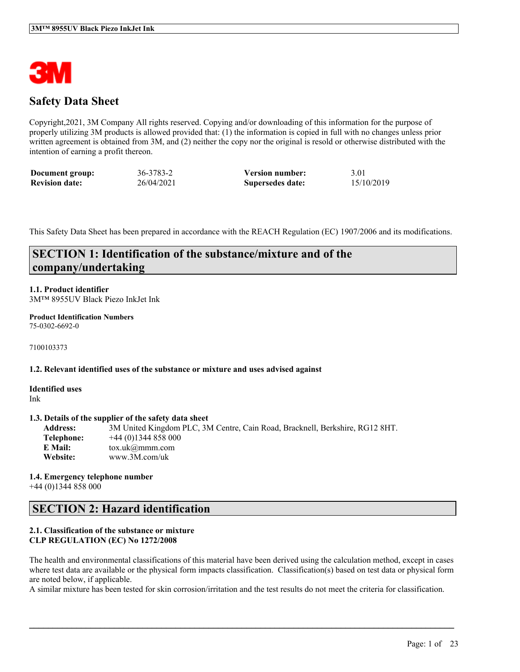

# **Safety Data Sheet**

Copyright,2021, 3M Company All rights reserved. Copying and/or downloading of this information for the purpose of properly utilizing 3M products is allowed provided that: (1) the information is copied in full with no changes unless prior written agreement is obtained from 3M, and (2) neither the copy nor the original is resold or otherwise distributed with the intention of earning a profit thereon.

| Document group:       | 36-3783-2  | <b>Version number:</b> | 3.01       |
|-----------------------|------------|------------------------|------------|
| <b>Revision date:</b> | 26/04/2021 | Supersedes date:       | 15/10/2019 |

This Safety Data Sheet has been prepared in accordance with the REACH Regulation (EC) 1907/2006 and its modifications.

# **SECTION 1: Identification of the substance/mixture and of the company/undertaking**

### **1.1. Product identifier** 3M™ 8955UV Black Piezo InkJet Ink

**Product Identification Numbers** 75-0302-6692-0

7100103373

### **1.2. Relevant identified uses of the substance or mixture and uses advised against**

**Identified uses** Ink

### **1.3. Details of the supplier of the safety data sheet**

**Address:** 3M United Kingdom PLC, 3M Centre, Cain Road, Bracknell, Berkshire, RG12 8HT. **Telephone:** +44 (0)1344 858 000 **E Mail:** tox.uk@mmm.com **Website:** www.3M.com/uk

**1.4. Emergency telephone number** +44 (0)1344 858 000

# **SECTION 2: Hazard identification**

## **2.1. Classification of the substance or mixture CLP REGULATION (EC) No 1272/2008**

The health and environmental classifications of this material have been derived using the calculation method, except in cases where test data are available or the physical form impacts classification. Classification(s) based on test data or physical form are noted below, if applicable.

 $\mathcal{L}_\mathcal{L} = \mathcal{L}_\mathcal{L} = \mathcal{L}_\mathcal{L} = \mathcal{L}_\mathcal{L} = \mathcal{L}_\mathcal{L} = \mathcal{L}_\mathcal{L} = \mathcal{L}_\mathcal{L} = \mathcal{L}_\mathcal{L} = \mathcal{L}_\mathcal{L} = \mathcal{L}_\mathcal{L} = \mathcal{L}_\mathcal{L} = \mathcal{L}_\mathcal{L} = \mathcal{L}_\mathcal{L} = \mathcal{L}_\mathcal{L} = \mathcal{L}_\mathcal{L} = \mathcal{L}_\mathcal{L} = \mathcal{L}_\mathcal{L}$ 

A similar mixture has been tested for skin corrosion/irritation and the test results do not meet the criteria for classification.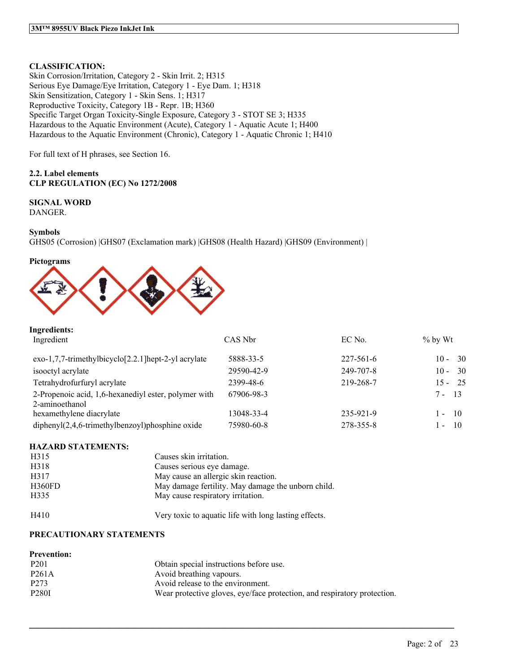## **CLASSIFICATION:**

Skin Corrosion/Irritation, Category 2 - Skin Irrit. 2; H315 Serious Eye Damage/Eye Irritation, Category 1 - Eye Dam. 1; H318 Skin Sensitization, Category 1 - Skin Sens. 1; H317 Reproductive Toxicity, Category 1B - Repr. 1B; H360 Specific Target Organ Toxicity-Single Exposure, Category 3 - STOT SE 3; H335 Hazardous to the Aquatic Environment (Acute), Category 1 - Aquatic Acute 1; H400 Hazardous to the Aquatic Environment (Chronic), Category 1 - Aquatic Chronic 1; H410

For full text of H phrases, see Section 16.

## **2.2. Label elements CLP REGULATION (EC) No 1272/2008**

## **SIGNAL WORD**

DANGER.

### **Symbols**

GHS05 (Corrosion) |GHS07 (Exclamation mark) |GHS08 (Health Hazard) |GHS09 (Environment) |

### **Pictograms**



### **Ingredients:**

| Ingredient                                                             | CAS Nbr    | EC No.          | $\%$ by Wt     |
|------------------------------------------------------------------------|------------|-----------------|----------------|
| exo-1,7,7-trimethylbicyclo[2.2.1]hept-2-yl acrylate                    | 5888-33-5  | $227 - 561 - 6$ | $10 - 30$      |
| isooctyl acrylate                                                      | 29590-42-9 | 249-707-8       | - 30<br>$10 -$ |
| Tetrahydrofurfuryl acrylate                                            | 2399-48-6  | 219-268-7       | $15 - 25$      |
| 2-Propenoic acid, 1,6-hexanediyl ester, polymer with<br>2-aminoethanol | 67906-98-3 |                 | $7 - 13$       |
| hexamethylene diacrylate                                               | 13048-33-4 | 235-921-9       | - 10<br>1 -    |
| $diphenyl(2,4,6-trimethylbenzoyl)phosphine oxide$                      | 75980-60-8 | 278-355-8       | 10<br>$\sim$   |

### **HAZARD STATEMENTS:**

| H315   | Causes skin irritation.                               |
|--------|-------------------------------------------------------|
| H318   | Causes serious eye damage.                            |
| H317   | May cause an allergic skin reaction.                  |
| H360FD | May damage fertility. May damage the unborn child.    |
| H335   | May cause respiratory irritation.                     |
| H410   | Very toxic to aquatic life with long lasting effects. |

## **PRECAUTIONARY STATEMENTS**

| <b>Prevention:</b> |                                                                          |
|--------------------|--------------------------------------------------------------------------|
| P <sub>201</sub>   | Obtain special instructions before use.                                  |
| P <sub>261</sub> A | Avoid breathing vapours.                                                 |
| P <sub>273</sub>   | Avoid release to the environment.                                        |
| <b>P280I</b>       | Wear protective gloves, eye/face protection, and respiratory protection. |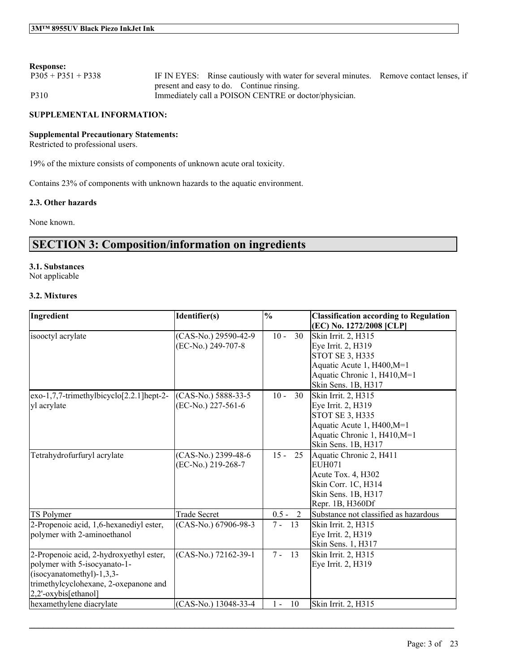## **Response:**

| $P305 + P351 + P338$ | IF IN EYES: Rinse cautiously with water for several minutes. Remove contact lenses, if |  |
|----------------------|----------------------------------------------------------------------------------------|--|
|                      | present and easy to do. Continue rinsing.                                              |  |
| P310                 | Immediately call a POISON CENTRE or doctor/physician.                                  |  |

### **SUPPLEMENTAL INFORMATION:**

## **Supplemental Precautionary Statements:**

Restricted to professional users.

19% of the mixture consists of components of unknown acute oral toxicity.

Contains 23% of components with unknown hazards to the aquatic environment.

### **2.3. Other hazards**

None known.

# **SECTION 3: Composition/information on ingredients**

# **3.1. Substances**

Not applicable

## **3.2. Mixtures**

| Ingredient                                                                                                                                                              | Identifier(s)                              | $\frac{0}{0}$ | <b>Classification according to Regulation</b><br>(EC) No. 1272/2008 [CLP]                                                                                |
|-------------------------------------------------------------------------------------------------------------------------------------------------------------------------|--------------------------------------------|---------------|----------------------------------------------------------------------------------------------------------------------------------------------------------|
| isooctyl acrylate                                                                                                                                                       | (CAS-No.) 29590-42-9<br>(EC-No.) 249-707-8 | $10 -$<br>30  | Skin Irrit. 2, H315<br>Eye Irrit. 2, H319<br><b>STOT SE 3, H335</b><br>Aquatic Acute 1, H400, M=1<br>Aquatic Chronic 1, H410, M=1<br>Skin Sens. 1B, H317 |
| exo-1,7,7-trimethylbicyclo[2.2.1]hept-2-<br>yl acrylate                                                                                                                 | (CAS-No.) 5888-33-5<br>(EC-No.) 227-561-6  | $10 -$<br>30  | Skin Irrit. 2, H315<br>Eye Irrit. 2, H319<br><b>STOT SE 3, H335</b><br>Aquatic Acute 1, H400, M=1<br>Aquatic Chronic 1, H410, M=1<br>Skin Sens. 1B, H317 |
| Tetrahydrofurfuryl acrylate                                                                                                                                             | (CAS-No.) 2399-48-6<br>(EC-No.) 219-268-7  | $15 -$<br>25  | Aquatic Chronic 2, H411<br><b>EUH071</b><br>Acute Tox. 4, H302<br>Skin Corr. 1C, H314<br>Skin Sens. 1B, H317<br>Repr. 1B, H360Df                         |
| TS Polymer                                                                                                                                                              | <b>Trade Secret</b>                        | $0.5 - 2$     | Substance not classified as hazardous                                                                                                                    |
| 2-Propenoic acid, 1,6-hexanediyl ester,<br>polymer with 2-aminoethanol                                                                                                  | (CAS-No.) 67906-98-3                       | $7 - 13$      | Skin Irrit. 2, H315<br>Eye Irrit. 2, H319<br>Skin Sens. 1, H317                                                                                          |
| 2-Propenoic acid, 2-hydroxyethyl ester,<br>polymer with 5-isocyanato-1-<br>$(isocyanatomethyl)-1,3,3-$<br>trimethylcyclohexane, 2-oxepanone and<br>2,2'-oxybis[ethanol] | (CAS-No.) 72162-39-1                       | $7 - 13$      | Skin Irrit. 2, H315<br>Eye Irrit. 2, H319                                                                                                                |
| hexamethylene diacrylate                                                                                                                                                | (CAS-No.) 13048-33-4                       | 10<br>$1 -$   | Skin Irrit. 2, H315                                                                                                                                      |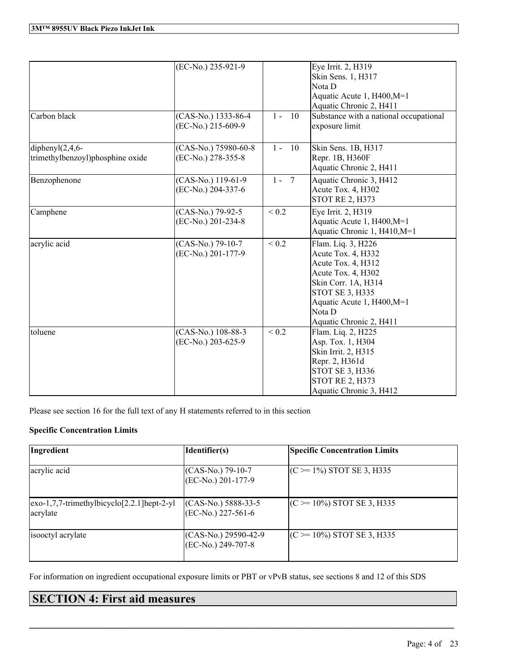|                                                           | (EC-No.) 235-921-9                         |             | Eye Irrit. 2, $H319$<br>Skin Sens. 1, H317<br>Nota D<br>Aquatic Acute 1, H400, M=1<br>Aquatic Chronic 2, H411                                                                                            |
|-----------------------------------------------------------|--------------------------------------------|-------------|----------------------------------------------------------------------------------------------------------------------------------------------------------------------------------------------------------|
| Carbon black                                              | (CAS-No.) 1333-86-4<br>(EC-No.) 215-609-9  | 10<br>$1 -$ | Substance with a national occupational<br>exposure limit                                                                                                                                                 |
| diphenyl $(2, 4, 6$ -<br>trimethylbenzoyl)phosphine oxide | (CAS-No.) 75980-60-8<br>(EC-No.) 278-355-8 | $1 - 10$    | Skin Sens. 1B, H317<br>Repr. 1B, H360F<br>Aquatic Chronic 2, H411                                                                                                                                        |
| Benzophenone                                              | (CAS-No.) 119-61-9<br>(EC-No.) 204-337-6   | $1 - 7$     | Aquatic Chronic 3, H412<br>Acute Tox. 4, H302<br><b>STOT RE 2, H373</b>                                                                                                                                  |
| Camphene                                                  | (CAS-No.) 79-92-5<br>(EC-No.) 201-234-8    | ${}_{0.2}$  | Eye Irrit. 2, H319<br>Aquatic Acute 1, H400, M=1<br>Aquatic Chronic 1, H410, M=1                                                                                                                         |
| acrylic acid                                              | (CAS-No.) 79-10-7<br>(EC-No.) 201-177-9    | ${}_{0.2}$  | Flam. Liq. 3, H226<br>Acute Tox. 4, H332<br>Acute Tox. 4, H312<br>Acute Tox. 4, H302<br>Skin Corr. 1A, H314<br><b>STOT SE 3, H335</b><br>Aquatic Acute 1, H400, M=1<br>Nota D<br>Aquatic Chronic 2, H411 |
| toluene                                                   | (CAS-No.) 108-88-3<br>(EC-No.) 203-625-9   | ${}_{0.2}$  | Flam. Liq. 2, H225<br>Asp. Tox. 1, H304<br>Skin Irrit. 2, H315<br>Repr. 2, H361d<br>STOT SE 3, H336<br><b>STOT RE 2, H373</b><br>Aquatic Chronic 3, H412                                                 |

Please see section 16 for the full text of any H statements referred to in this section

## **Specific Concentration Limits**

| Ingredient                                                                                                           | Identifier(s)                                | <b>Specific Concentration Limits</b> |
|----------------------------------------------------------------------------------------------------------------------|----------------------------------------------|--------------------------------------|
| acrylic acid                                                                                                         | (CAS-No.) 79-10-7<br>(EC-No.) 201-177-9      | $(C \ge 1\%)$ STOT SE 3, H335        |
| $\left[\frac{exo-1}{7}, \frac{7}{1}$ -trimethylbicyclo $\left[\frac{2}{2}, \frac{1}{1}\right]$ hept-2-yl<br>acrylate | $(CAS-No.) 5888-33-5$<br>(EC-No.) 227-561-6  | $(C \ge 10\%)$ STOT SE 3, H335       |
| isooctyl acrylate                                                                                                    | $(CAS-No.) 29590-42-9$<br>(EC-No.) 249-707-8 | $(C \ge 10\%)$ STOT SE 3, H335       |

For information on ingredient occupational exposure limits or PBT or vPvB status, see sections 8 and 12 of this SDS

 $\mathcal{L}_\mathcal{L} = \mathcal{L}_\mathcal{L} = \mathcal{L}_\mathcal{L} = \mathcal{L}_\mathcal{L} = \mathcal{L}_\mathcal{L} = \mathcal{L}_\mathcal{L} = \mathcal{L}_\mathcal{L} = \mathcal{L}_\mathcal{L} = \mathcal{L}_\mathcal{L} = \mathcal{L}_\mathcal{L} = \mathcal{L}_\mathcal{L} = \mathcal{L}_\mathcal{L} = \mathcal{L}_\mathcal{L} = \mathcal{L}_\mathcal{L} = \mathcal{L}_\mathcal{L} = \mathcal{L}_\mathcal{L} = \mathcal{L}_\mathcal{L}$ 

# **SECTION 4: First aid measures**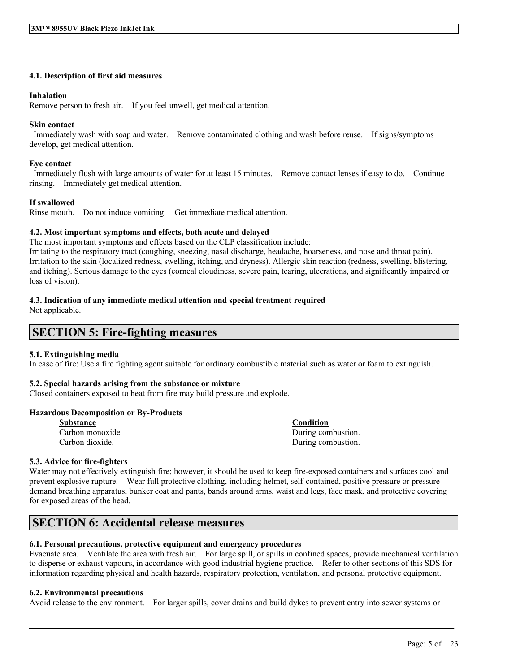### **4.1. Description of first aid measures**

#### **Inhalation**

Remove person to fresh air. If you feel unwell, get medical attention.

### **Skin contact**

Immediately wash with soap and water. Remove contaminated clothing and wash before reuse. If signs/symptoms develop, get medical attention.

#### **Eye contact**

Immediately flush with large amounts of water for at least 15 minutes. Remove contact lenses if easy to do. Continue rinsing. Immediately get medical attention.

### **If swallowed**

Rinse mouth. Do not induce vomiting. Get immediate medical attention.

### **4.2. Most important symptoms and effects, both acute and delayed**

The most important symptoms and effects based on the CLP classification include:

Irritating to the respiratory tract (coughing, sneezing, nasal discharge, headache, hoarseness, and nose and throat pain). Irritation to the skin (localized redness, swelling, itching, and dryness). Allergic skin reaction (redness, swelling, blistering, and itching). Serious damage to the eyes (corneal cloudiness, severe pain, tearing, ulcerations, and significantly impaired or loss of vision).

### **4.3. Indication of any immediate medical attention and special treatment required**

Not applicable.

# **SECTION 5: Fire-fighting measures**

### **5.1. Extinguishing media**

In case of fire: Use a fire fighting agent suitable for ordinary combustible material such as water or foam to extinguish.

### **5.2. Special hazards arising from the substance or mixture**

Closed containers exposed to heat from fire may build pressure and explode.

### **Hazardous Decomposition or By-Products**

| <b>Substance</b> | Condition          |
|------------------|--------------------|
| Carbon monoxide  | During combustion. |
| Carbon dioxide.  | During combustion. |

## **5.3. Advice for fire-fighters**

Water may not effectively extinguish fire; however, it should be used to keep fire-exposed containers and surfaces cool and prevent explosive rupture. Wear full protective clothing, including helmet, self-contained, positive pressure or pressure demand breathing apparatus, bunker coat and pants, bands around arms, waist and legs, face mask, and protective covering for exposed areas of the head.

# **SECTION 6: Accidental release measures**

### **6.1. Personal precautions, protective equipment and emergency procedures**

Evacuate area. Ventilate the area with fresh air. For large spill, or spills in confined spaces, provide mechanical ventilation to disperse or exhaust vapours, in accordance with good industrial hygiene practice. Refer to other sections of this SDS for information regarding physical and health hazards, respiratory protection, ventilation, and personal protective equipment.

### **6.2. Environmental precautions**

Avoid release to the environment. For larger spills, cover drains and build dykes to prevent entry into sewer systems or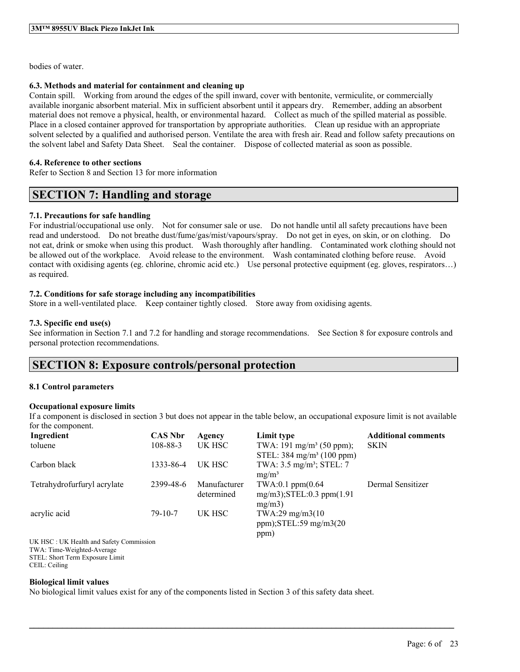bodies of water.

### **6.3. Methods and material for containment and cleaning up**

Contain spill. Working from around the edges of the spill inward, cover with bentonite, vermiculite, or commercially available inorganic absorbent material. Mix in sufficient absorbent until it appears dry. Remember, adding an absorbent material does not remove a physical, health, or environmental hazard. Collect as much of the spilled material as possible. Place in a closed container approved for transportation by appropriate authorities. Clean up residue with an appropriate solvent selected by a qualified and authorised person. Ventilate the area with fresh air. Read and follow safety precautions on the solvent label and Safety Data Sheet. Seal the container. Dispose of collected material as soon as possible.

### **6.4. Reference to other sections**

Refer to Section 8 and Section 13 for more information

# **SECTION 7: Handling and storage**

## **7.1. Precautions for safe handling**

For industrial/occupational use only. Not for consumer sale or use. Do not handle until all safety precautions have been read and understood. Do not breathe dust/fume/gas/mist/vapours/spray. Do not get in eyes, on skin, or on clothing. Do not eat, drink or smoke when using this product. Wash thoroughly after handling. Contaminated work clothing should not be allowed out of the workplace. Avoid release to the environment. Wash contaminated clothing before reuse. Avoid contact with oxidising agents (eg. chlorine, chromic acid etc.) Use personal protective equipment (eg. gloves, respirators…) as required.

## **7.2. Conditions for safe storage including any incompatibilities**

Store in a well-ventilated place. Keep container tightly closed. Store away from oxidising agents.

### **7.3. Specific end use(s)**

See information in Section 7.1 and 7.2 for handling and storage recommendations. See Section 8 for exposure controls and personal protection recommendations.

# **SECTION 8: Exposure controls/personal protection**

### **8.1 Control parameters**

### **Occupational exposure limits**

If a component is disclosed in section 3 but does not appear in the table below, an occupational exposure limit is not available for the component.

| Ingredient                              | <b>CAS Nbr</b> | Agency       | Limit type                           | <b>Additional comments</b> |
|-----------------------------------------|----------------|--------------|--------------------------------------|----------------------------|
| toluene                                 | $108 - 88 - 3$ | UK HSC       | TWA: 191 mg/m <sup>3</sup> (50 ppm); | <b>SKIN</b>                |
|                                         |                |              | STEL: $384 \text{ mg/m}^3$ (100 ppm) |                            |
| Carbon black                            | 1333-86-4      | UK HSC       | TWA: 3.5 mg/m <sup>3</sup> ; STEL: 7 |                            |
|                                         |                |              | $mg/m^3$                             |                            |
| Tetrahydrofurfuryl acrylate             | 2399-48-6      | Manufacturer | $TWA:0.1$ ppm $(0.64)$               | Dermal Sensitizer          |
|                                         |                | determined   | $mg/m3$ ; STEL: 0.3 ppm $(1.91)$     |                            |
|                                         |                |              | mg/m3                                |                            |
| acrylic acid                            | $79 - 10 - 7$  | UK HSC       | TWA:29 mg/m3(10)                     |                            |
|                                         |                |              | $ppm$ );STEL:59 mg/m3(20             |                            |
|                                         |                |              | ppm)                                 |                            |
| UK HSC: UK Health and Safety Commission |                |              |                                      |                            |

 $\mathcal{L}_\mathcal{L} = \mathcal{L}_\mathcal{L} = \mathcal{L}_\mathcal{L} = \mathcal{L}_\mathcal{L} = \mathcal{L}_\mathcal{L} = \mathcal{L}_\mathcal{L} = \mathcal{L}_\mathcal{L} = \mathcal{L}_\mathcal{L} = \mathcal{L}_\mathcal{L} = \mathcal{L}_\mathcal{L} = \mathcal{L}_\mathcal{L} = \mathcal{L}_\mathcal{L} = \mathcal{L}_\mathcal{L} = \mathcal{L}_\mathcal{L} = \mathcal{L}_\mathcal{L} = \mathcal{L}_\mathcal{L} = \mathcal{L}_\mathcal{L}$ 

TWA: Time-Weighted-Average STEL: Short Term Exposure Limit CEIL: Ceiling

### **Biological limit values**

No biological limit values exist for any of the components listed in Section 3 of this safety data sheet.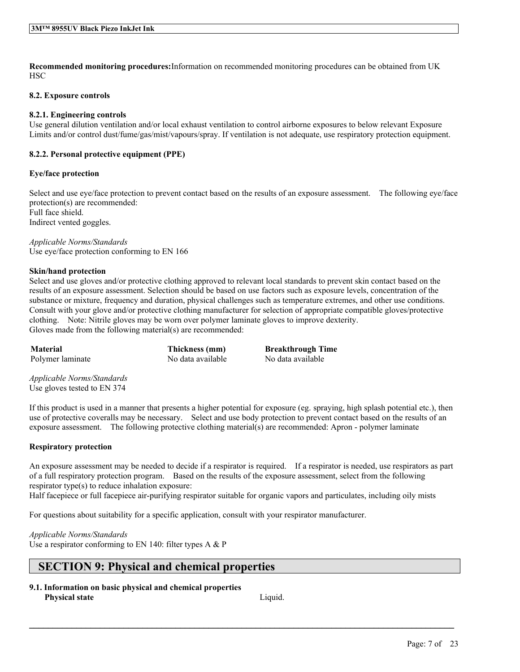**Recommended monitoring procedures:**Information on recommended monitoring procedures can be obtained from UK **HSC** 

### **8.2. Exposure controls**

## **8.2.1. Engineering controls**

Use general dilution ventilation and/or local exhaust ventilation to control airborne exposures to below relevant Exposure Limits and/or control dust/fume/gas/mist/vapours/spray. If ventilation is not adequate, use respiratory protection equipment.

### **8.2.2. Personal protective equipment (PPE)**

### **Eye/face protection**

Select and use eye/face protection to prevent contact based on the results of an exposure assessment. The following eye/face protection(s) are recommended: Full face shield. Indirect vented goggles.

*Applicable Norms/Standards* Use eye/face protection conforming to EN 166

### **Skin/hand protection**

Select and use gloves and/or protective clothing approved to relevant local standards to prevent skin contact based on the results of an exposure assessment. Selection should be based on use factors such as exposure levels, concentration of the substance or mixture, frequency and duration, physical challenges such as temperature extremes, and other use conditions. Consult with your glove and/or protective clothing manufacturer for selection of appropriate compatible gloves/protective clothing. Note: Nitrile gloves may be worn over polymer laminate gloves to improve dexterity. Gloves made from the following material(s) are recommended:

**Material Thickness (mm) Breakthrough Time** Polymer laminate No data available No data available

*Applicable Norms/Standards* Use gloves tested to EN 374

If this product is used in a manner that presents a higher potential for exposure (eg. spraying, high splash potential etc.), then use of protective coveralls may be necessary. Select and use body protection to prevent contact based on the results of an exposure assessment. The following protective clothing material(s) are recommended: Apron - polymer laminate

### **Respiratory protection**

An exposure assessment may be needed to decide if a respirator is required. If a respirator is needed, use respirators as part of a full respiratory protection program. Based on the results of the exposure assessment, select from the following respirator type(s) to reduce inhalation exposure:

 $\mathcal{L}_\mathcal{L} = \mathcal{L}_\mathcal{L} = \mathcal{L}_\mathcal{L} = \mathcal{L}_\mathcal{L} = \mathcal{L}_\mathcal{L} = \mathcal{L}_\mathcal{L} = \mathcal{L}_\mathcal{L} = \mathcal{L}_\mathcal{L} = \mathcal{L}_\mathcal{L} = \mathcal{L}_\mathcal{L} = \mathcal{L}_\mathcal{L} = \mathcal{L}_\mathcal{L} = \mathcal{L}_\mathcal{L} = \mathcal{L}_\mathcal{L} = \mathcal{L}_\mathcal{L} = \mathcal{L}_\mathcal{L} = \mathcal{L}_\mathcal{L}$ 

Half facepiece or full facepiece air-purifying respirator suitable for organic vapors and particulates, including oily mists

For questions about suitability for a specific application, consult with your respirator manufacturer.

### *Applicable Norms/Standards*

Use a respirator conforming to EN 140: filter types  $A \& P$ 

# **SECTION 9: Physical and chemical properties**

**9.1. Information on basic physical and chemical properties Physical state** Liquid.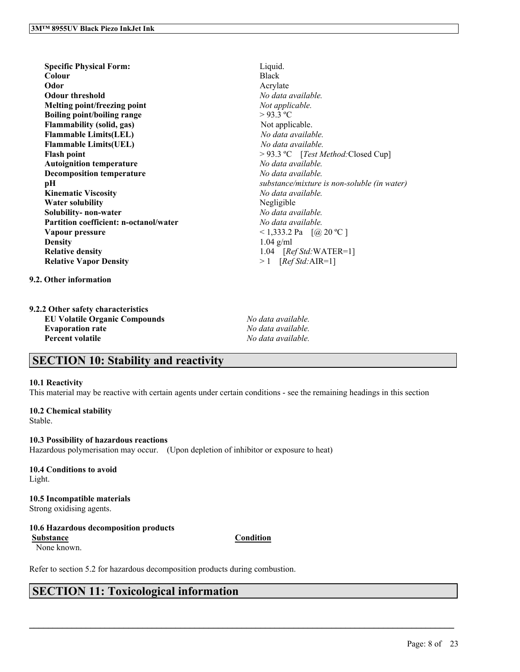**Specific Physical Form:** Liquid. **Colour** Black **Odor** Acrylate **Odour threshold** *No data available.* **Melting point/freezing point** *Not applicable.* **Boiling point/boiling range** > 93.3 ºC **Flammability** (solid, gas) Not applicable. **Flammable Limits(LEL)** *No data available.* **Flammable Limits(UEL)** *No data available.* Flash point  $> 93.3$  °C [*Test Method:*Closed Cup] **Autoignition temperature** *No data available.* **Decomposition temperature** *No data available.* **pH** *substance/mixture is non-soluble (in water)* **Kinematic Viscosity** *No data available.* **Water solubility** Negligible **Solubility- non-water** *No data available.* **Partition coefficient: n-octanol/water** *No data available.* **Vapour pressure**  $\leq 1,333.2$  Pa  $\left[\left(\frac{a}{a}\right)20\right]$   $\leq 1$ **Density** 1.04 g/ml **Relative density** 1.04 [*Ref Std:*WATER=1] **Relative Vapor Density** > 1 [*Ref Std:*AIR=1]

**9.2. Other information**

**9.2.2 Other safety characteristics EU Volatile Organic Compounds** *No data available.* **Evaporation rate** *No data available.* **Percent volatile** *No data available.*

# **SECTION 10: Stability and reactivity**

### **10.1 Reactivity**

This material may be reactive with certain agents under certain conditions - see the remaining headings in this section

## **10.2 Chemical stability**

Stable.

**10.3 Possibility of hazardous reactions** Hazardous polymerisation may occur. (Upon depletion of inhibitor or exposure to heat)

**10.4 Conditions to avoid** Light.

# **10.5 Incompatible materials**

Strong oxidising agents.

**10.6 Hazardous decomposition products Substance Condition**

None known.

 $\mathcal{L}_\mathcal{L} = \mathcal{L}_\mathcal{L} = \mathcal{L}_\mathcal{L} = \mathcal{L}_\mathcal{L} = \mathcal{L}_\mathcal{L} = \mathcal{L}_\mathcal{L} = \mathcal{L}_\mathcal{L} = \mathcal{L}_\mathcal{L} = \mathcal{L}_\mathcal{L} = \mathcal{L}_\mathcal{L} = \mathcal{L}_\mathcal{L} = \mathcal{L}_\mathcal{L} = \mathcal{L}_\mathcal{L} = \mathcal{L}_\mathcal{L} = \mathcal{L}_\mathcal{L} = \mathcal{L}_\mathcal{L} = \mathcal{L}_\mathcal{L}$ 

Refer to section 5.2 for hazardous decomposition products during combustion.

# **SECTION 11: Toxicological information**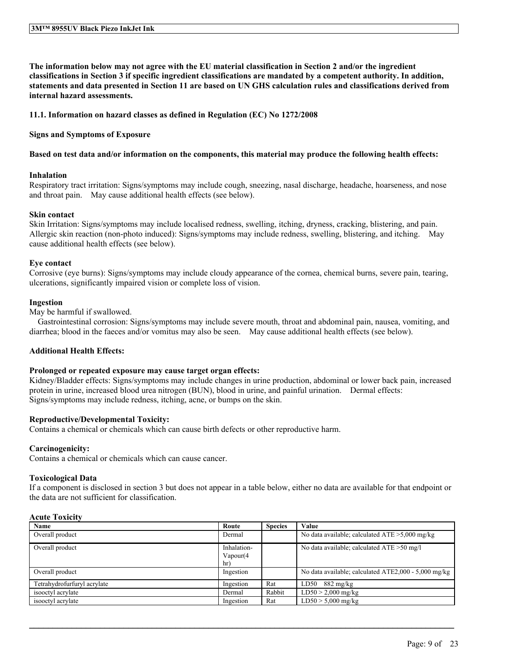The information below may not agree with the EU material classification in Section 2 and/or the ingredient classifications in Section 3 if specific ingredient classifications are mandated by a competent authority. In addition, statements and data presented in Section 11 are based on UN GHS calculation rules and classifications derived from **internal hazard assessments.**

### **11.1. Information on hazard classes as defined in Regulation (EC) No 1272/2008**

### **Signs and Symptoms of Exposure**

### Based on test data and/or information on the components, this material may produce the following health effects:

### **Inhalation**

Respiratory tract irritation: Signs/symptoms may include cough, sneezing, nasal discharge, headache, hoarseness, and nose and throat pain. May cause additional health effects (see below).

### **Skin contact**

Skin Irritation: Signs/symptoms may include localised redness, swelling, itching, dryness, cracking, blistering, and pain. Allergic skin reaction (non-photo induced): Signs/symptoms may include redness, swelling, blistering, and itching. May cause additional health effects (see below).

### **Eye contact**

Corrosive (eye burns): Signs/symptoms may include cloudy appearance of the cornea, chemical burns, severe pain, tearing, ulcerations, significantly impaired vision or complete loss of vision.

### **Ingestion**

May be harmful if swallowed.

Gastrointestinal corrosion: Signs/symptoms may include severe mouth, throat and abdominal pain, nausea, vomiting, and diarrhea; blood in the faeces and/or vomitus may also be seen. May cause additional health effects (see below).

### **Additional Health Effects:**

### **Prolonged or repeated exposure may cause target organ effects:**

Kidney/Bladder effects: Signs/symptoms may include changes in urine production, abdominal or lower back pain, increased protein in urine, increased blood urea nitrogen (BUN), blood in urine, and painful urination. Dermal effects: Signs/symptoms may include redness, itching, acne, or bumps on the skin.

### **Reproductive/Developmental Toxicity:**

Contains a chemical or chemicals which can cause birth defects or other reproductive harm.

### **Carcinogenicity:**

Contains a chemical or chemicals which can cause cancer.

### **Toxicological Data**

If a component is disclosed in section 3 but does not appear in a table below, either no data are available for that endpoint or the data are not sufficient for classification.

### **Acute Toxicity**

| Name                        | Route                    | <b>Species</b> | Value                                                |
|-----------------------------|--------------------------|----------------|------------------------------------------------------|
| Overall product             | Dermal                   |                | No data available; calculated $ATE > 5,000$ mg/kg    |
| Overall product             | Inhalation-<br>Vapour(4) |                | No data available; calculated ATE > 50 mg/l          |
|                             | hr)                      |                |                                                      |
| Overall product             | Ingestion                |                | No data available; calculated ATE2,000 - 5,000 mg/kg |
| Tetrahydrofurfuryl acrylate | Ingestion                | Rat            | LD50 882 mg/kg                                       |
| isooctyl acrylate           | Dermal                   | Rabbit         | $LD50 > 2,000$ mg/kg                                 |
| isooctyl acrylate           | Ingestion                | Rat            | $LD50 > 5,000$ mg/kg                                 |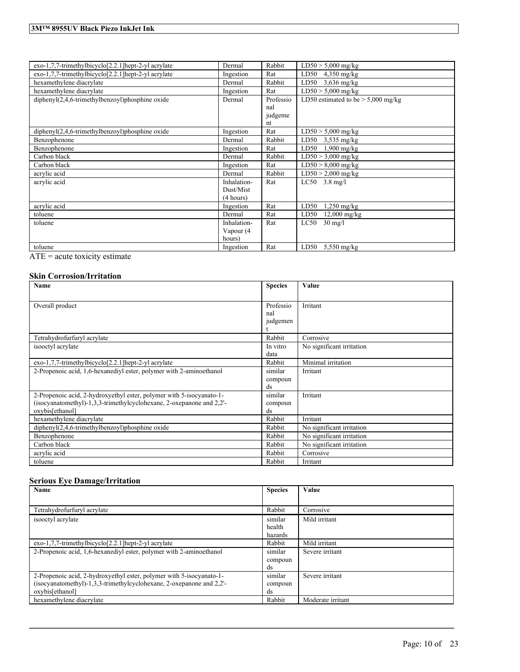| exo-1,7,7-trimethylbicyclo[2.2.1] hept-2-yl acrylate | Dermal      | Rabbit    | $LD50 > 5,000$ mg/kg                 |
|------------------------------------------------------|-------------|-----------|--------------------------------------|
| exo-1,7,7-trimethylbicyclo[2.2.1]hept-2-yl acrylate  | Ingestion   | Rat       | LD50<br>$4,350$ mg/kg                |
| hexamethylene diacrylate                             | Dermal      | Rabbit    | LD50<br>$3,636$ mg/kg                |
| hexamethylene diacrylate                             | Ingestion   | Rat       | $LD50 > 5,000$ mg/kg                 |
| diphenyl(2,4,6-trimethylbenzoyl)phosphine oxide      | Dermal      | Professio | LD50 estimated to be $> 5,000$ mg/kg |
|                                                      |             | nal       |                                      |
|                                                      |             | judgeme   |                                      |
|                                                      |             | nt        |                                      |
| $diphenyl(2,4,6-trimethylbenzoyl)phosphine oxide$    | Ingestion   | Rat       | $LD50 > 5,000$ mg/kg                 |
| Benzophenone                                         | Dermal      | Rabbit    | LD50<br>$3,535$ mg/kg                |
| Benzophenone                                         | Ingestion   | Rat       | LD50<br>$1,900$ mg/kg                |
| Carbon black                                         | Dermal      | Rabbit    | $LD50 > 3,000$ mg/kg                 |
| Carbon black                                         | Ingestion   | Rat       | $LD50 > 8,000$ mg/kg                 |
| acrylic acid                                         | Dermal      | Rabbit    | $LD50 > 2,000$ mg/kg                 |
| acrylic acid                                         | Inhalation- | Rat       | $LC50$ 3.8 mg/l                      |
|                                                      | Dust/Mist   |           |                                      |
|                                                      | (4 hours)   |           |                                      |
| acrylic acid                                         | Ingestion   | Rat       | LD50<br>$1,250$ mg/kg                |
| toluene                                              | Dermal      | Rat       | LD50<br>$12,000 \text{ mg/kg}$       |
| toluene                                              | Inhalation- | Rat       | LC50<br>$30 \text{ mg/l}$            |
|                                                      | Vapour (4   |           |                                      |
|                                                      | hours)      |           |                                      |
| toluene                                              | Ingestion   | Rat       | LD50<br>$5,550$ mg/kg                |

ATE = acute toxicity estimate

## **Skin Corrosion/Irritation**

| Name                                                                 | <b>Species</b> | Value                     |
|----------------------------------------------------------------------|----------------|---------------------------|
|                                                                      |                |                           |
| Overall product                                                      | Professio      | Irritant                  |
|                                                                      | nal            |                           |
|                                                                      | judgemen       |                           |
|                                                                      |                |                           |
| Tetrahydrofurfuryl acrylate                                          | Rabbit         | Corrosive                 |
| isooctyl acrylate                                                    | In vitro       | No significant irritation |
|                                                                      | data           |                           |
| $exo-1,7,7-$ trimethylbicyclo $[2.2.1]$ hept-2-yl acrylate           | Rabbit         | Minimal irritation        |
| 2-Propenoic acid, 1.6-hexanedivl ester, polymer with 2-aminoethanol  | similar        | Irritant                  |
|                                                                      | compoun        |                           |
|                                                                      | ds             |                           |
| 2-Propenoic acid, 2-hydroxyethyl ester, polymer with 5-isocyanato-1- | similar        | Irritant                  |
| (isocyanatomethyl)-1,3,3-trimethylcyclohexane, 2-oxepanone and 2,2'- | compoun        |                           |
| oxybis[ethanol]                                                      | ds             |                           |
| hexamethylene diacrylate                                             | Rabbit         | Irritant                  |
| diphenyl(2,4,6-trimethylbenzoyl)phosphine oxide                      | Rabbit         | No significant irritation |
| Benzophenone                                                         | Rabbit         | No significant irritation |
| Carbon black                                                         | Rabbit         | No significant irritation |
| acrylic acid                                                         | Rabbit         | Corrosive                 |
| toluene                                                              | Rabbit         | Irritant                  |

# **Serious Eye Damage/Irritation**

| Name                                                                 | <b>Species</b> | Value             |
|----------------------------------------------------------------------|----------------|-------------------|
|                                                                      |                |                   |
| Tetrahydrofurfuryl acrylate                                          | Rabbit         | Corrosive         |
| isooctyl acrylate                                                    | similar        | Mild irritant     |
|                                                                      | health         |                   |
|                                                                      | hazards        |                   |
| $exo-1,7,7-$ trimethylbicyclo <sup>[2.2.1]</sup> hept-2-yl acrylate  | Rabbit         | Mild irritant     |
| 2-Propenoic acid, 1,6-hexanediyl ester, polymer with 2-aminoethanol  | similar        | Severe irritant   |
|                                                                      | compoun        |                   |
|                                                                      | ds             |                   |
| 2-Propenoic acid, 2-hydroxyethyl ester, polymer with 5-isocyanato-1- | similar        | Severe irritant   |
| (isocyanatomethyl)-1,3,3-trimethylcyclohexane, 2-oxepanone and 2,2'- | compoun        |                   |
| oxybis[ethanol]                                                      | ds             |                   |
| hexamethylene diacrylate                                             | Rabbit         | Moderate irritant |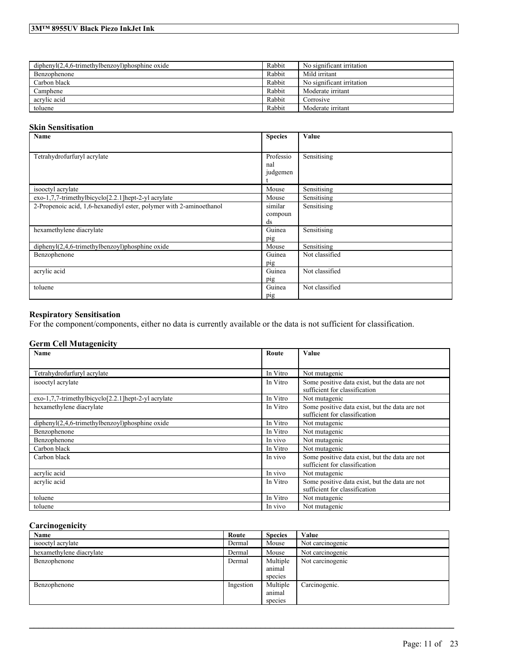## **3M™ 8955UV Black Piezo InkJet Ink**

| $diphenyl(2,4,6-trimethylbenzovl)phosphine oxide$ | Rabbit | No significant irritation |
|---------------------------------------------------|--------|---------------------------|
| Benzophenone                                      | Rabbit | Mild irritant             |
| Carbon black                                      | Rabbit | No significant irritation |
| Camphene                                          | Rabbit | Moderate irritant         |
| acrylic acid                                      | Rabbit | Corrosive                 |
| toluene                                           | Rabbit | Moderate irritant         |

## **Skin Sensitisation**

| Name                                                                | <b>Species</b> | Value          |
|---------------------------------------------------------------------|----------------|----------------|
|                                                                     |                |                |
| Tetrahydrofurfuryl acrylate                                         | Professio      | Sensitising    |
|                                                                     | nal            |                |
|                                                                     | judgemen       |                |
| isooctyl acrylate                                                   | Mouse          | Sensitising    |
| exo-1,7,7-trimethylbicyclo[2.2.1] hept-2-yl acrylate                | Mouse          | Sensitising    |
| 2-Propenoic acid, 1,6-hexanediyl ester, polymer with 2-aminoethanol | similar        | Sensitising    |
|                                                                     | compoun        |                |
|                                                                     | ds             |                |
| hexamethylene diacrylate                                            | Guinea         | Sensitising    |
|                                                                     | pig            |                |
| $dipheny I(2,4,6-trimethylbenzoyl)phosphine oxide$                  | Mouse          | Sensitising    |
| Benzophenone                                                        | Guinea         | Not classified |
|                                                                     | pig            |                |
| acrylic acid                                                        | Guinea         | Not classified |
|                                                                     | pig            |                |
| toluene                                                             | Guinea         | Not classified |
|                                                                     | pig            |                |

## **Respiratory Sensitisation**

For the component/components, either no data is currently available or the data is not sufficient for classification.

## **Germ Cell Mutagenicity**

| Name                                                | Route    | Value                                          |
|-----------------------------------------------------|----------|------------------------------------------------|
|                                                     |          |                                                |
| Tetrahydrofurfuryl acrylate                         | In Vitro | Not mutagenic                                  |
| isooctyl acrylate                                   | In Vitro | Some positive data exist, but the data are not |
|                                                     |          | sufficient for classification                  |
| exo-1,7,7-trimethylbicyclo[2.2.1]hept-2-yl acrylate | In Vitro | Not mutagenic                                  |
| hexamethylene diacrylate                            | In Vitro | Some positive data exist, but the data are not |
|                                                     |          | sufficient for classification                  |
| $dipheny I(2,4,6-trimethylbenzoyl)phosphine oxide$  | In Vitro | Not mutagenic                                  |
| Benzophenone                                        | In Vitro | Not mutagenic                                  |
| Benzophenone                                        | In vivo  | Not mutagenic                                  |
| Carbon black                                        | In Vitro | Not mutagenic                                  |
| Carbon black                                        | In vivo  | Some positive data exist, but the data are not |
|                                                     |          | sufficient for classification                  |
| acrylic acid                                        | In vivo  | Not mutagenic                                  |
| acrylic acid                                        | In Vitro | Some positive data exist, but the data are not |
|                                                     |          | sufficient for classification                  |
| toluene                                             | In Vitro | Not mutagenic                                  |
| toluene                                             | In vivo  | Not mutagenic                                  |

## **Carcinogenicity**

| Name                     | Route     | <b>Species</b>                | Value            |
|--------------------------|-----------|-------------------------------|------------------|
| isooctyl acrylate        | Dermal    | Mouse                         | Not carcinogenic |
| hexamethylene diacrylate | Dermal    | Mouse                         | Not carcinogenic |
| Benzophenone             | Dermal    | Multiple<br>animal<br>species | Not carcinogenic |
| Benzophenone             | Ingestion | Multiple<br>animal<br>species | Carcinogenic.    |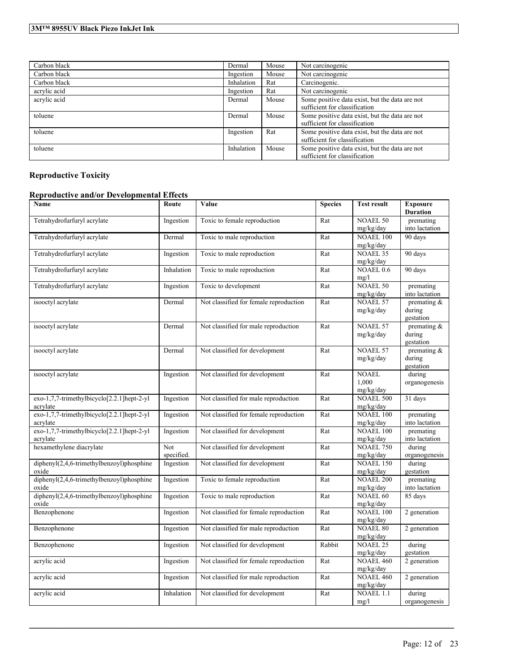| Carbon black | Dermal     | Mouse | Not carcinogenic                                                                |
|--------------|------------|-------|---------------------------------------------------------------------------------|
| Carbon black | Ingestion  | Mouse | Not carcinogenic                                                                |
| Carbon black | Inhalation | Rat   | Carcinogenic.                                                                   |
| acrylic acid | Ingestion  | Rat   | Not carcinogenic                                                                |
| acrylic acid | Dermal     | Mouse | Some positive data exist, but the data are not<br>sufficient for classification |
| toluene      | Dermal     | Mouse | Some positive data exist, but the data are not<br>sufficient for classification |
| toluene      | Ingestion  | Rat   | Some positive data exist, but the data are not<br>sufficient for classification |
| toluene      | Inhalation | Mouse | Some positive data exist, but the data are not<br>sufficient for classification |

# **Reproductive Toxicity**

# **Reproductive and/or Developmental Effects**

| Name                                                   | Route             | Value                                  | <b>Species</b> | <b>Test result</b>                 | <b>Exposure</b><br><b>Duration</b>    |
|--------------------------------------------------------|-------------------|----------------------------------------|----------------|------------------------------------|---------------------------------------|
| Tetrahydrofurfuryl acrylate                            | Ingestion         | Toxic to female reproduction           | Rat            | <b>NOAEL 50</b><br>mg/kg/day       | premating<br>into lactation           |
| Tetrahydrofurfuryl acrylate                            | Dermal            | Toxic to male reproduction             | Rat            | <b>NOAEL 100</b><br>mg/kg/day      | 90 days                               |
| Tetrahydrofurfuryl acrylate                            | Ingestion         | Toxic to male reproduction             | Rat            | <b>NOAEL 35</b><br>mg/kg/day       | 90 days                               |
| Tetrahydrofurfuryl acrylate                            | Inhalation        | Toxic to male reproduction             | Rat            | NOAEL <sub>0.6</sub><br>mg/l       | 90 days                               |
| Tetrahydrofurfuryl acrylate                            | Ingestion         | Toxic to development                   | Rat            | NOAEL 50<br>mg/kg/day              | premating<br>into lactation           |
| isooctyl acrylate                                      | Dermal            | Not classified for female reproduction | Rat            | <b>NOAEL 57</b><br>mg/kg/day       | premating $\&$<br>during<br>gestation |
| isooctyl acrylate                                      | Dermal            | Not classified for male reproduction   | Rat            | <b>NOAEL 57</b><br>mg/kg/day       | premating $\&$<br>during<br>gestation |
| isooctyl acrylate                                      | Dermal            | Not classified for development         | Rat            | <b>NOAEL 57</b><br>mg/kg/day       | premating &<br>during<br>gestation    |
| isooctyl acrylate                                      | Ingestion         | Not classified for development         | Rat            | <b>NOAEL</b><br>1.000<br>mg/kg/day | during<br>organogenesis               |
| exo-1,7,7-trimethylbicyclo[2.2.1]hept-2-yl<br>acrylate | Ingestion         | Not classified for male reproduction   | Rat            | <b>NOAEL 500</b><br>mg/kg/day      | 31 days                               |
| exo-1,7,7-trimethylbicyclo[2.2.1]hept-2-yl<br>acrylate | Ingestion         | Not classified for female reproduction | Rat            | <b>NOAEL 100</b><br>mg/kg/day      | premating<br>into lactation           |
| exo-1,7,7-trimethylbicyclo[2.2.1]hept-2-yl<br>acrylate | Ingestion         | Not classified for development         | Rat            | <b>NOAEL 100</b><br>mg/kg/day      | premating<br>into lactation           |
| hexamethylene diacrylate                               | Not<br>specified. | Not classified for development         | Rat            | <b>NOAEL 750</b><br>mg/kg/day      | during<br>organogenesis               |
| diphenyl(2,4,6-trimethylbenzoyl)phosphine<br>oxide     | Ingestion         | Not classified for development         | Rat            | <b>NOAEL 150</b><br>mg/kg/day      | during<br>gestation                   |
| diphenyl(2,4,6-trimethylbenzoyl)phosphine<br>oxide     | Ingestion         | Toxic to female reproduction           | Rat            | <b>NOAEL 200</b><br>mg/kg/day      | premating<br>into lactation           |
| diphenyl(2,4,6-trimethylbenzoyl)phosphine<br>oxide     | Ingestion         | Toxic to male reproduction             | Rat            | <b>NOAEL 60</b><br>mg/kg/day       | 85 days                               |
| Benzophenone                                           | Ingestion         | Not classified for female reproduction | Rat            | <b>NOAEL 100</b><br>mg/kg/day      | 2 generation                          |
| Benzophenone                                           | Ingestion         | Not classified for male reproduction   | Rat            | <b>NOAEL 80</b><br>mg/kg/day       | 2 generation                          |
| Benzophenone                                           | Ingestion         | Not classified for development         | Rabbit         | <b>NOAEL 25</b><br>mg/kg/day       | during<br>gestation                   |
| acrylic acid                                           | Ingestion         | Not classified for female reproduction | Rat            | <b>NOAEL 460</b><br>mg/kg/day      | 2 generation                          |
| acrylic acid                                           | Ingestion         | Not classified for male reproduction   | Rat            | <b>NOAEL 460</b><br>mg/kg/day      | 2 generation                          |
| acrylic acid                                           | Inhalation        | Not classified for development         | Rat            | <b>NOAEL 1.1</b><br>mg/l           | during<br>organogenesis               |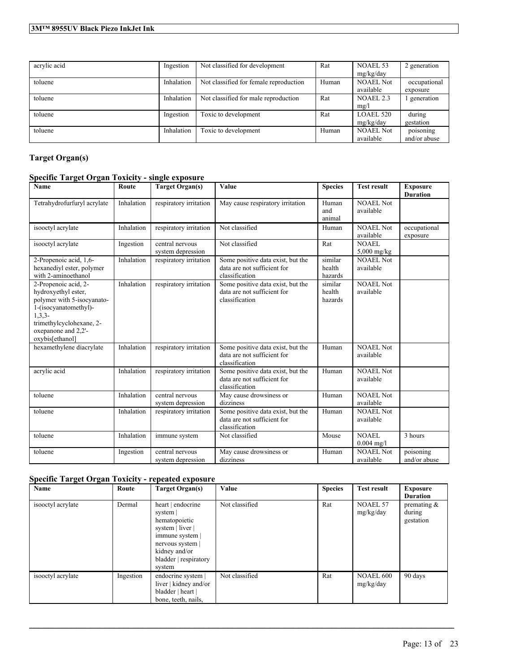| acrylic acid | Ingestion  | Not classified for development         | Rat   | NOAEL 53         | 2 generation |
|--------------|------------|----------------------------------------|-------|------------------|--------------|
|              |            |                                        |       | mg/kg/day        |              |
| toluene      | Inhalation | Not classified for female reproduction | Human | NOAEL Not        | occupational |
|              |            |                                        |       | available        | exposure     |
| toluene      | Inhalation | Not classified for male reproduction   | Rat   | NOAEL 2.3        | generation   |
|              |            |                                        |       | mg/l             |              |
| toluene      | Ingestion  | Toxic to development                   | Rat   | <b>LOAEL 520</b> | during       |
|              |            |                                        |       | mg/kg/day        | gestation    |
| toluene      | Inhalation | Toxic to development                   | Human | <b>NOAEL Not</b> | poisoning    |
|              |            |                                        |       | available        | and/or abuse |

# **Target Organ(s)**

## **Specific Target Organ Toxicity - single exposure**

| Name                                                                                                                                                                                   | Route      | <b>Target Organ(s)</b>               | Value                                                                              | <b>Species</b>               | <b>Test result</b>            | <b>Exposure</b><br><b>Duration</b> |
|----------------------------------------------------------------------------------------------------------------------------------------------------------------------------------------|------------|--------------------------------------|------------------------------------------------------------------------------------|------------------------------|-------------------------------|------------------------------------|
| Tetrahydrofurfuryl acrylate                                                                                                                                                            | Inhalation | respiratory irritation               | May cause respiratory irritation                                                   | Human<br>and<br>animal       | <b>NOAEL Not</b><br>available |                                    |
| isooctyl acrylate                                                                                                                                                                      | Inhalation | respiratory irritation               | Not classified                                                                     | Human                        | NOAEL Not<br>available        | occupational<br>exposure           |
| isooctyl acrylate                                                                                                                                                                      | Ingestion  | central nervous<br>system depression | Not classified                                                                     | Rat                          | NOAEL<br>$5,000$ mg/kg        |                                    |
| 2-Propenoic acid, 1,6-<br>hexanediyl ester, polymer<br>with 2-aminoethanol                                                                                                             | Inhalation | respiratory irritation               | Some positive data exist, but the<br>data are not sufficient for<br>classification | similar<br>health<br>hazards | <b>NOAEL Not</b><br>available |                                    |
| 2-Propenoic acid, 2-<br>hydroxyethyl ester,<br>polymer with 5-isocyanato-<br>1-(isocyanatomethyl)-<br>$1, 3, 3-$<br>trimethylcyclohexane, 2-<br>oxepanone and 2,2'-<br>oxybis[ethanol] | Inhalation | respiratory irritation               | Some positive data exist, but the<br>data are not sufficient for<br>classification | similar<br>health<br>hazards | <b>NOAEL Not</b><br>available |                                    |
| hexamethylene diacrylate                                                                                                                                                               | Inhalation | respiratory irritation               | Some positive data exist, but the<br>data are not sufficient for<br>classification | Human                        | <b>NOAEL Not</b><br>available |                                    |
| acrylic acid                                                                                                                                                                           | Inhalation | respiratory irritation               | Some positive data exist, but the<br>data are not sufficient for<br>classification | Human                        | <b>NOAEL Not</b><br>available |                                    |
| toluene                                                                                                                                                                                | Inhalation | central nervous<br>system depression | May cause drowsiness or<br>dizziness                                               | Human                        | <b>NOAEL Not</b><br>available |                                    |
| toluene                                                                                                                                                                                | Inhalation | respiratory irritation               | Some positive data exist, but the<br>data are not sufficient for<br>classification | Human                        | <b>NOAEL Not</b><br>available |                                    |
| toluene                                                                                                                                                                                | Inhalation | immune system                        | Not classified                                                                     | Mouse                        | NOAEL<br>$0.004$ mg/l         | 3 hours                            |
| toluene                                                                                                                                                                                | Ingestion  | central nervous<br>system depression | May cause drowsiness or<br>dizziness                                               | Human                        | <b>NOAEL Not</b><br>available | poisoning<br>and/or abuse          |

# **Specific Target Organ Toxicity - repeated exposure**

| Name              | Route     | <b>Target Organ(s)</b>                                                                                                                                  | Value          | <b>Species</b> | <b>Test result</b>            | <b>Exposure</b><br><b>Duration</b>    |
|-------------------|-----------|---------------------------------------------------------------------------------------------------------------------------------------------------------|----------------|----------------|-------------------------------|---------------------------------------|
| isooctyl acrylate | Dermal    | heart   endocrine<br>system<br>hematopoietic<br>system   liver  <br>immune system<br>nervous system<br>kidney and/or<br>bladder   respiratory<br>system | Not classified | Rat            | <b>NOAEL 57</b><br>mg/kg/day  | premating $\&$<br>during<br>gestation |
| isooctyl acrylate | Ingestion | endocrine system  <br>liver   kidney and/or<br>bladder   heart  <br>bone, teeth, nails,                                                                 | Not classified | Rat            | <b>NOAEL 600</b><br>mg/kg/day | 90 days                               |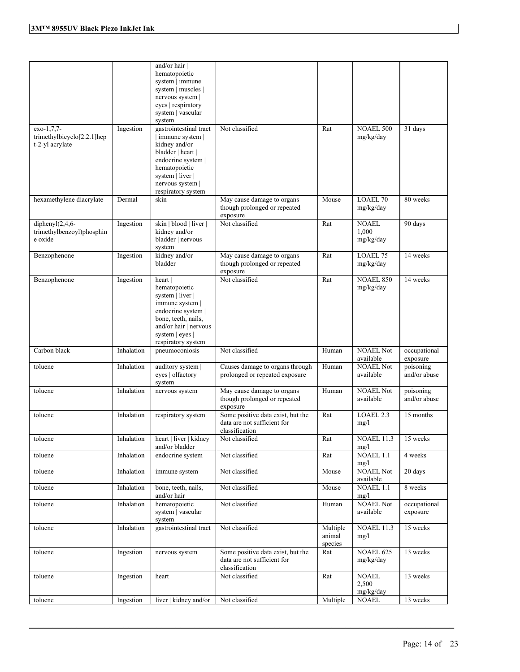|                                                             |            | and/or hair  <br>hematopoietic<br>system   immune<br>system   muscles  <br>nervous system  <br>eyes   respiratory<br>system   vascular<br>system                                     |                                                                                    |                               |                                    |                           |
|-------------------------------------------------------------|------------|--------------------------------------------------------------------------------------------------------------------------------------------------------------------------------------|------------------------------------------------------------------------------------|-------------------------------|------------------------------------|---------------------------|
| exo-1,7,7-<br>trimethylbicyclo[2.2.1]hep<br>t-2-yl acrylate | Ingestion  | gastrointestinal tract<br>immune system  <br>kidney and/or<br>bladder   heart  <br>endocrine system  <br>hematopoietic<br>system   liver  <br>nervous system  <br>respiratory system | Not classified                                                                     | Rat                           | <b>NOAEL 500</b><br>mg/kg/day      | 31 days                   |
| hexamethylene diacrylate                                    | Dermal     | skin                                                                                                                                                                                 | May cause damage to organs<br>though prolonged or repeated<br>exposure             | Mouse                         | <b>LOAEL 70</b><br>mg/kg/day       | 80 weeks                  |
| diphenyl $(2,4,6$ -<br>trimethylbenzoyl)phosphin<br>e oxide | Ingestion  | skin   blood   liver  <br>kidney and/or<br>bladder   nervous<br>system                                                                                                               | Not classified                                                                     | Rat                           | <b>NOAEL</b><br>1,000<br>mg/kg/day | 90 days                   |
| Benzophenone                                                | Ingestion  | kidney and/or<br>bladder                                                                                                                                                             | May cause damage to organs<br>though prolonged or repeated<br>exposure             | Rat                           | LOAEL 75<br>mg/kg/day              | 14 weeks                  |
| Benzophenone                                                | Ingestion  | heart  <br>hematopoietic<br>system   liver  <br>immune system  <br>endocrine system  <br>bone, teeth, nails,<br>and/or hair   nervous<br>system   eyes  <br>respiratory system       | Not classified                                                                     | Rat                           | <b>NOAEL 850</b><br>mg/kg/day      | 14 weeks                  |
| Carbon black                                                | Inhalation | pneumoconiosis                                                                                                                                                                       | Not classified                                                                     | Human                         | <b>NOAEL Not</b><br>available      | occupational<br>exposure  |
| toluene                                                     | Inhalation | auditory system  <br>eyes   olfactory<br>system                                                                                                                                      | Causes damage to organs through<br>prolonged or repeated exposure                  | Human                         | <b>NOAEL Not</b><br>available      | poisoning<br>and/or abuse |
| toluene                                                     | Inhalation | nervous system                                                                                                                                                                       | May cause damage to organs<br>though prolonged or repeated<br>exposure             | Human                         | <b>NOAEL Not</b><br>available      | poisoning<br>and/or abuse |
| toluene                                                     | Inhalation | respiratory system                                                                                                                                                                   | Some positive data exist, but the<br>data are not sufficient for<br>classification | Rat                           | LOAEL 2.3<br>mg/l                  | 15 months                 |
| toluene                                                     | Inhalation | heart   liver   kidney<br>and/or bladder                                                                                                                                             | Not classified                                                                     | Rat                           | NOAEL 11.3 15 weeks<br>mg/l        |                           |
| toluene                                                     | Inhalation | endocrine system                                                                                                                                                                     | Not classified                                                                     | Rat                           | NOAEL 1.1<br>mg/l                  | 4 weeks                   |
| toluene                                                     | Inhalation | immune system                                                                                                                                                                        | Not classified                                                                     | Mouse                         | <b>NOAEL Not</b><br>available      | 20 days                   |
| toluene                                                     | Inhalation | bone, teeth, nails,<br>and/or hair                                                                                                                                                   | Not classified                                                                     | Mouse                         | NOAEL 1.1<br>mg/l                  | 8 weeks                   |
| toluene                                                     | Inhalation | hematopoietic<br>system   vascular<br>system                                                                                                                                         | Not classified                                                                     | Human                         | <b>NOAEL Not</b><br>available      | occupational<br>exposure  |
| toluene                                                     | Inhalation | gastrointestinal tract                                                                                                                                                               | Not classified                                                                     | Multiple<br>animal<br>species | <b>NOAEL 11.3</b><br>mg/l          | 15 weeks                  |
| toluene                                                     | Ingestion  | nervous system                                                                                                                                                                       | Some positive data exist, but the<br>data are not sufficient for<br>classification | Rat                           | <b>NOAEL 625</b><br>mg/kg/day      | 13 weeks                  |
| toluene                                                     | Ingestion  | heart                                                                                                                                                                                | Not classified                                                                     | Rat                           | <b>NOAEL</b><br>2,500<br>mg/kg/day | 13 weeks                  |
| toluene                                                     | Ingestion  | liver   kidney and/or                                                                                                                                                                | Not classified                                                                     | Multiple                      | <b>NOAEL</b>                       | 13 weeks                  |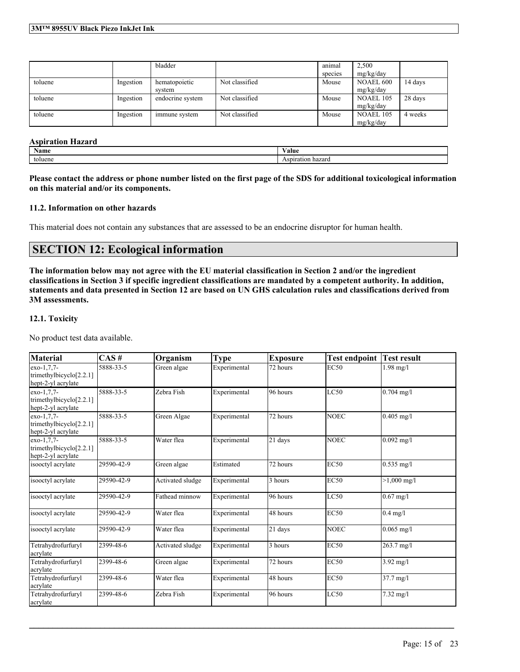|         |           | bladder                 |                | animal<br>species | 2,500<br>mg/kg/day     |         |
|---------|-----------|-------------------------|----------------|-------------------|------------------------|---------|
| toluene | Ingestion | hematopoietic<br>system | Not classified | Mouse             | NOAEL 600<br>mg/kg/day | 14 days |
| toluene | Ingestion | endocrine system        | Not classified | Mouse             | NOAEL 105<br>mg/kg/day | 28 days |
| toluene | Ingestion | immune system           | Not classified | Mouse             | NOAEL 105<br>mg/kg/day | 4 weeks |

### **Aspiration Hazard**

| $\mathbf{v}$<br>Name | 'alue                           |
|----------------------|---------------------------------|
| toluene              | $-1$<br>hazaro<br>'on<br>энтаг. |

### Please contact the address or phone number listed on the first page of the SDS for additional toxicological information **on this material and/or its components.**

### **11.2. Information on other hazards**

This material does not contain any substances that are assessed to be an endocrine disruptor for human health.

# **SECTION 12: Ecological information**

The information below may not agree with the EU material classification in Section 2 and/or the ingredient classifications in Section 3 if specific ingredient classifications are mandated by a competent authority. In addition, statements and data presented in Section 12 are based on UN GHS calculation rules and classifications derived from **3M assessments.**

### **12.1. Toxicity**

No product test data available.

| <b>Material</b>                                               | CAS#       | Organism         | <b>Type</b>  | <b>Exposure</b> | <b>Test endpoint Test result</b> |                        |
|---------------------------------------------------------------|------------|------------------|--------------|-----------------|----------------------------------|------------------------|
| exo-1,7,7-<br>trimethylbicyclo[2.2.1]<br>hept-2-yl acrylate   | 5888-33-5  | Green algae      | Experimental | 72 hours        | <b>EC50</b>                      | $1.98$ mg/l            |
| $exo-1.7.7-$<br>trimethylbicyclo[2.2.1]<br>hept-2-yl acrylate | 5888-33-5  | Zebra Fish       | Experimental | 96 hours        | LC50                             | $0.704$ mg/l           |
| $exo-1.7.7-$<br>trimethylbicyclo[2.2.1]<br>hept-2-yl acrylate | 5888-33-5  | Green Algae      | Experimental | 72 hours        | <b>NOEC</b>                      | $0.405$ mg/l           |
| exo-1,7,7-<br>trimethylbicyclo[2.2.1]<br>hept-2-yl acrylate   | 5888-33-5  | Water flea       | Experimental | 21 days         | <b>NOEC</b>                      | $0.092$ mg/l           |
| isooctyl acrylate                                             | 29590-42-9 | Green algae      | Estimated    | 72 hours        | EC50                             | $0.535$ mg/l           |
| isooctyl acrylate                                             | 29590-42-9 | Activated sludge | Experimental | 3 hours         | <b>EC50</b>                      | $>1,000$ mg/l          |
| isooctyl acrylate                                             | 29590-42-9 | Fathead minnow   | Experimental | 96 hours        | LC50                             | $\overline{0.67}$ mg/l |
| isooctyl acrylate                                             | 29590-42-9 | Water flea       | Experimental | 48 hours        | <b>EC50</b>                      | $0.4$ mg/l             |
| isooctyl acrylate                                             | 29590-42-9 | Water flea       | Experimental | 21 days         | <b>NOEC</b>                      | $0.065$ mg/l           |
| Tetrahydrofurfuryl<br>acrylate                                | 2399-48-6  | Activated sludge | Experimental | 3 hours         | EC50                             | 263.7 mg/l             |
| Tetrahydrofurfuryl<br>acrylate                                | 2399-48-6  | Green algae      | Experimental | 72 hours        | <b>EC50</b>                      | $3.92 \text{ mg}/1$    |
| Tetrahydrofurfuryl<br>acrylate                                | 2399-48-6  | Water flea       | Experimental | 48 hours        | <b>EC50</b>                      | 37.7 mg/l              |
| Tetrahydrofurfuryl<br>acrylate                                | 2399-48-6  | Zebra Fish       | Experimental | 96 hours        | LC50                             | 7.32 mg/l              |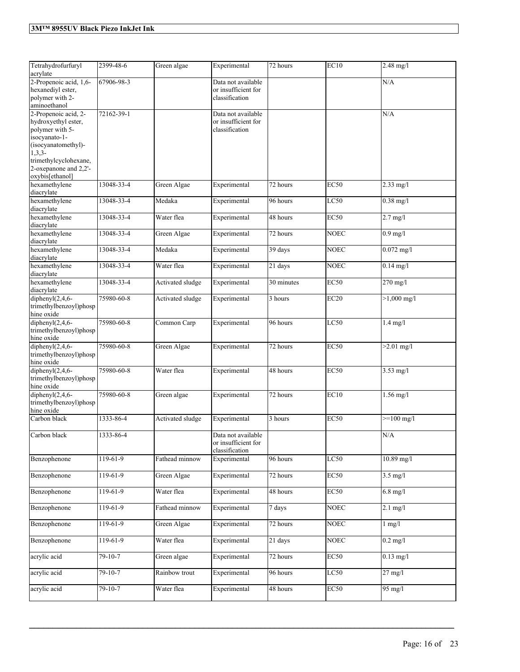| Tetrahydrofurfuryl<br>acrylate                                                                                                                                       | 2399-48-6     | Green algae      | Experimental                                                | 72 hours                   | EC10             | $2.48$ mg/l         |
|----------------------------------------------------------------------------------------------------------------------------------------------------------------------|---------------|------------------|-------------------------------------------------------------|----------------------------|------------------|---------------------|
| 2-Propenoic acid, 1,6-<br>hexanediyl ester,<br>polymer with 2-<br>aminoethanol                                                                                       | 67906-98-3    |                  | Data not available<br>or insufficient for<br>classification |                            |                  | N/A                 |
| 2-Propenoic acid, 2-<br>hydroxyethyl ester,<br>polymer with 5-<br>isocyanato-1-<br>(isocyanatomethyl)-<br>$1,3,3-$<br>trimethylcyclohexane,<br>2-oxepanone and 2,2'- | 72162-39-1    |                  | Data not available<br>or insufficient for<br>classification |                            |                  | N/A                 |
| oxybis[ethanol]<br>hexamethylene<br>diacrylate                                                                                                                       | 13048-33-4    | Green Algae      | Experimental                                                | 72 hours                   | <b>EC50</b>      | $2.33$ mg/l         |
| hexamethylene<br>diacrylate                                                                                                                                          | 13048-33-4    | Medaka           | Experimental                                                | 96 hours                   | LC50             | $0.38$ mg/l         |
| hexamethylene<br>diacrylate                                                                                                                                          | 13048-33-4    | Water flea       | Experimental                                                | 48 hours                   | <b>EC50</b>      | $2.7$ mg/l          |
| hexamethylene<br>diacrylate                                                                                                                                          | 13048-33-4    | Green Algae      | Experimental                                                | 72 hours                   | <b>NOEC</b>      | $0.9$ mg/l          |
| hexamethylene<br>diacrylate                                                                                                                                          | 13048-33-4    | Medaka           | Experimental                                                | 39 days                    | <b>NOEC</b>      | $0.072$ mg/l        |
| hexamethylene<br>diacrylate                                                                                                                                          | 13048-33-4    | Water flea       | Experimental                                                | 21 days                    | <b>NOEC</b>      | $0.14$ mg/l         |
| hexamethylene<br>diacrylate                                                                                                                                          | 13048-33-4    | Activated sludge | Experimental                                                | 30 minutes                 | EC50             | $270$ mg/l          |
| diphenyl $(2, 4, 6$ -<br>trimethylbenzoyl)phosp<br>hine oxide                                                                                                        | 75980-60-8    | Activated sludge | Experimental                                                | $\frac{1}{3}$ hours        | EC20             | $>1,000$ mg/l       |
| diphenyl $(2, 4, 6$ -<br>trimethylbenzoyl)phosp<br>hine oxide                                                                                                        | 75980-60-8    | Common Carp      | Experimental                                                | 96 hours                   | LC50             | $1.4$ mg/l          |
| diphenyl $(2,4,6-$<br>trimethylbenzoyl)phosp<br>hine oxide                                                                                                           | 75980-60-8    | Green Algae      | Experimental                                                | 72 hours                   | <b>EC50</b>      | $>2.01$ mg/l        |
| diphenyl $(2,4,6-$<br>trimethylbenzoyl)phosp<br>hine oxide                                                                                                           | 75980-60-8    | Water flea       | Experimental                                                | $48$ hours                 | <b>EC50</b>      | $3.53$ mg/l         |
| diphenyl $(2,4,6-$<br>trimethylbenzoyl)phosp<br>hine oxide                                                                                                           | 75980-60-8    | Green algae      | Experimental                                                | 72 hours                   | EC10             | $1.56 \text{ mg/l}$ |
| Carbon black                                                                                                                                                         | 1333-86-4     | Activated sludge | Experimental                                                | 3 hours                    | EC50             | $>=100$ mg/l        |
| Carbon black                                                                                                                                                         | 1333-86-4     |                  | Data not available<br>or insufficient for<br>classification |                            |                  | $\rm N/A$           |
| Benzophenone                                                                                                                                                         | $119-61-9$    | Fathead minnow   | Experimental                                                | 96 hours                   | LC50             | $10.89$ mg/l        |
| Benzophenone                                                                                                                                                         | 119-61-9      | Green Algae      | Experimental                                                | 72 hours                   | EC <sub>50</sub> | $3.5$ mg/l          |
| Benzophenone                                                                                                                                                         | 119-61-9      | Water flea       | Experimental                                                | 48 hours                   | EC <sub>50</sub> | $6.8 \text{ mg/l}$  |
| Benzophenone                                                                                                                                                         | $119-61-9$    | Fathead minnow   | Experimental                                                | $7 \overline{\text{days}}$ | <b>NOEC</b>      | $2.1$ mg/l          |
| Benzophenone                                                                                                                                                         | $119-61-9$    | Green Algae      | Experimental                                                | 72 hours                   | <b>NOEC</b>      | $1$ mg/ $1$         |
| Benzophenone                                                                                                                                                         | $119-61-9$    | Water flea       | Experimental                                                | $21$ days                  | <b>NOEC</b>      | $0.2 \text{ mg/l}$  |
| acrylic acid                                                                                                                                                         | 79-10-7       | Green algae      | Experimental                                                | 72 hours                   | EC50             | $0.13$ mg/l         |
| acrylic acid                                                                                                                                                         | $79 - 10 - 7$ | Rainbow trout    | Experimental                                                | 96 hours                   | LC50             | $27$ mg/l           |
| acrylic acid                                                                                                                                                         | $79 - 10 - 7$ | Water flea       | Experimental                                                | 48 hours                   | EC50             | 95 mg/l             |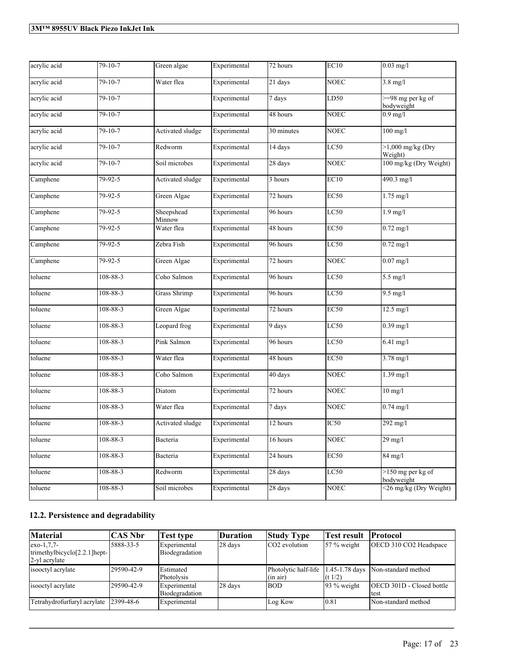| acrylic acid | $79 - 10 - 7$  | Green algae          | Experimental | 72 hours   | EC10              | $0.03$ mg/l                                                |
|--------------|----------------|----------------------|--------------|------------|-------------------|------------------------------------------------------------|
| acrylic acid | $79 - 10 - 7$  | Water flea           | Experimental | 21 days    | <b>NOEC</b>       | $3.8$ mg/l                                                 |
| acrylic acid | $79 - 10 - 7$  |                      | Experimental | 7 days     | LD50              | $\geq$ =98 mg per kg of<br>bodyweight                      |
| acrylic acid | $79 - 10 - 7$  |                      | Experimental | 48 hours   | <b>NOEC</b>       | $0.9 \text{ mg/l}$                                         |
| acrylic acid | $79 - 10 - 7$  | Activated sludge     | Experimental | 30 minutes | NOEC              | $100$ mg/l                                                 |
| acrylic acid | 79-10-7        | Redworm              | Experimental | 14 days    | LC50              | $>1,000$ mg/kg (Dry<br>Weight)                             |
| acrylic acid | $79 - 10 - 7$  | Soil microbes        | Experimental | 28 days    | <b>NOEC</b>       | $\frac{100 \text{ mg/kg}}{100 \text{ mg/kg}}$ (Dry Weight) |
| Camphene     | 79-92-5        | Activated sludge     | Experimental | 3 hours    | <b>EC10</b>       | 490.3 mg/l                                                 |
| Camphene     | 79-92-5        | Green Algae          | Experimental | 72 hours   | <b>EC50</b>       | $1.75$ mg/l                                                |
| Camphene     | 79-92-5        | Sheepshead<br>Minnow | Experimental | 96 hours   | LC50              | $1.9$ mg/l                                                 |
| Camphene     | 79-92-5        | Water flea           | Experimental | 48 hours   | <b>EC50</b>       | $0.72$ mg/l                                                |
| Camphene     | 79-92-5        | Zebra Fish           | Experimental | 96 hours   | LC50              | $0.72 \text{ mg/l}$                                        |
| Camphene     | 79-92-5        | Green Algae          | Experimental | 72 hours   | <b>NOEC</b>       | $0.07$ mg/l                                                |
| toluene      | 108-88-3       | Coho Salmon          | Experimental | 96 hours   | LC50              | 5.5 mg/l                                                   |
| toluene      | 108-88-3       | <b>Grass Shrimp</b>  | Experimental | 96 hours   | LC50              | $9.5$ mg/l                                                 |
| toluene      | 108-88-3       | Green Algae          | Experimental | 72 hours   | EC50              | $12.5 \text{ mg}/1$                                        |
| toluene      | $108 - 88 - 3$ | Leopard frog         | Experimental | 9 days     | LC50              | $0.39$ mg/l                                                |
| toluene      | 108-88-3       | Pink Salmon          | Experimental | 96 hours   | LC50              | $6.41$ mg/l                                                |
| toluene      | 108-88-3       | Water flea           | Experimental | 48 hours   | <b>EC50</b>       | $3.78$ mg/l                                                |
| toluene      | $108 - 88 - 3$ | Coho Salmon          | Experimental | 40 days    | <b>NOEC</b>       | $1.39$ mg/l                                                |
| toluene      | $108 - 88 - 3$ | Diatom               | Experimental | 72 hours   | <b>NOEC</b>       | $10$ mg/l                                                  |
| toluene      | 108-88-3       | Water flea           | Experimental | 7 days     | <b>NOEC</b>       | $0.74 \text{ mg}/1$                                        |
| toluene      | $108 - 88 - 3$ | Activated sludge     | Experimental | 12 hours   | $\overline{IC50}$ | $292$ mg/l                                                 |
| toluene      | 108-88-3       | Bacteria             | Experimental | 16 hours   | <b>NOEC</b>       | 29 mg/l                                                    |
| toluene      | 108-88-3       | Bacteria             | Experimental | 24 hours   | <b>EC50</b>       | 84 mg/l                                                    |
| toluene      | $108 - 88 - 3$ | Redworm              | Experimental | 28 days    | LC50              | $>150$ mg per kg of<br>bodyweight                          |
| toluene      | 108-88-3       | Soil microbes        | Experimental | 28 days    | <b>NOEC</b>       | $\sqrt{26}$ mg/kg (Dry Weight)                             |

# **12.2. Persistence and degradability**

| <b>Material</b>                                                            | <b>CAS Nbr</b> | Test type                      | Duration | <b>Study Type</b>                | 'Test result             | <b>Protocol</b>                           |
|----------------------------------------------------------------------------|----------------|--------------------------------|----------|----------------------------------|--------------------------|-------------------------------------------|
| $exo-1,7,7-$<br>trimethylbicyclo <sup>[2.2.1]</sup> hept-<br>2-yl acrylate | 5888-33-5      | Experimental<br>Biodegradation | 28 days  | CO <sub>2</sub> evolution        | $57%$ weight             | OECD 310 CO2 Headspace                    |
| isooctyl acrylate                                                          | 29590-42-9     | Estimated<br>Photolysis        |          | Photolytic half-life<br>(in air) | (t 1/2)                  | 1.45-1.78 days Non-standard method        |
| isooctyl acrylate                                                          | 29590-42-9     | Experimental<br>Biodegradation | 28 days  | <b>BOD</b>                       | $ 93 \% \text{ weight} $ | <b>OECD 301D - Closed bottle</b><br>Itest |
| Tetrahydrofurfuryl acrylate   2399-48-6                                    |                | Experimental                   |          | Log Kow                          | 10.81                    | Non-standard method                       |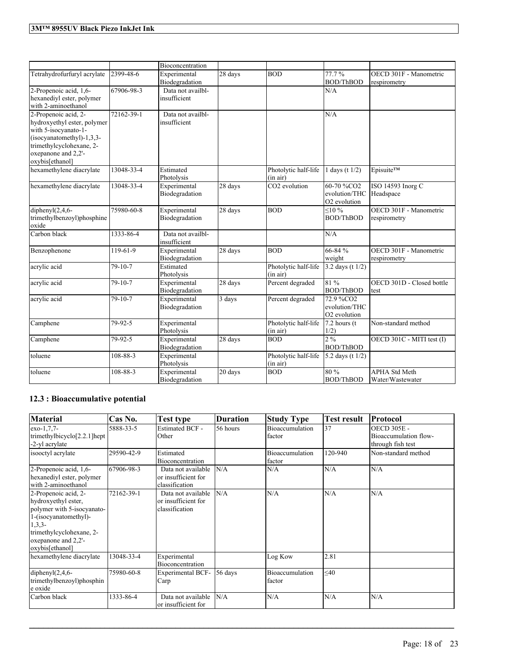|                                                                                                                                                                                  |               | Bioconcentration                  |           |                                  |                                                        |                                               |
|----------------------------------------------------------------------------------------------------------------------------------------------------------------------------------|---------------|-----------------------------------|-----------|----------------------------------|--------------------------------------------------------|-----------------------------------------------|
| Tetrahydrofurfuryl acrylate                                                                                                                                                      | 2399-48-6     | Experimental<br>Biodegradation    | $28$ days | <b>BOD</b>                       | 77.7%<br><b>BOD/ThBOD</b>                              | OECD 301F - Manometric<br>respirometry        |
| 2-Propenoic acid, 1,6-<br>hexanediyl ester, polymer<br>with 2-aminoethanol                                                                                                       | 67906-98-3    | Data not availbl-<br>insufficient |           |                                  | N/A                                                    |                                               |
| 2-Propenoic acid, 2-<br>hydroxyethyl ester, polymer<br>with 5-isocyanato-1-<br>$(isocyanatomethyl)-1,3,3-$<br>trimethylcyclohexane, 2-<br>oxepanone and 2.2'-<br>oxybis[ethanol] | 72162-39-1    | Data not availbl-<br>insufficient |           |                                  | N/A                                                    |                                               |
| hexamethylene diacrylate                                                                                                                                                         | 13048-33-4    | Estimated<br>Photolysis           |           | Photolytic half-life<br>(in air) | days (t $1/2$ )                                        | Episuite™                                     |
| hexamethylene diacrylate                                                                                                                                                         | 13048-33-4    | Experimental<br>Biodegradation    | 28 days   | CO <sub>2</sub> evolution        | 60-70 %CO2<br>evolution/THC<br>O2 evolution            | ISO 14593 Inorg C<br>Headspace                |
| diphenyl $(2, 4, 6$ -<br>trimethylbenzoyl)phosphine<br>oxide                                                                                                                     | 75980-60-8    | Experimental<br>Biodegradation    | 28 days   | <b>BOD</b>                       | $\sqrt{210\%}$<br><b>BOD/ThBOD</b>                     | <b>OECD 301F - Manometric</b><br>respirometry |
| Carbon black                                                                                                                                                                     | 1333-86-4     | Data not availbl-<br>insufficient |           |                                  | N/A                                                    |                                               |
| Benzophenone                                                                                                                                                                     | 119-61-9      | Experimental<br>Biodegradation    | 28 days   | <b>BOD</b>                       | 66-84 %<br>weight                                      | OECD 301F - Manometric<br>respirometry        |
| acrylic acid                                                                                                                                                                     | $79 - 10 - 7$ | Estimated<br>Photolysis           |           | Photolytic half-life<br>(in air) | 3.2 days (t $1/2$ )                                    |                                               |
| acrylic acid                                                                                                                                                                     | $79 - 10 - 7$ | Experimental<br>Biodegradation    | 28 days   | Percent degraded                 | 81 %<br><b>BOD/ThBOD</b>                               | OECD 301D - Closed bottle<br>test             |
| acrylic acid                                                                                                                                                                     | $79 - 10 - 7$ | Experimental<br>Biodegradation    | 3 days    | Percent degraded                 | 72.9 %CO2<br>evolution/THC<br>O <sub>2</sub> evolution |                                               |
| Camphene                                                                                                                                                                         | 79-92-5       | Experimental<br>Photolysis        |           | Photolytic half-life<br>(in air) | $7.2$ hours (t)<br>1/2)                                | Non-standard method                           |
| Camphene                                                                                                                                                                         | 79-92-5       | Experimental<br>Biodegradation    | 28 days   | <b>BOD</b>                       | $2\%$<br><b>BOD/ThBOD</b>                              | OECD 301C - MITI test (I)                     |
| toluene                                                                                                                                                                          | 108-88-3      | Experimental<br>Photolysis        |           | Photolytic half-life<br>(in air) | 5.2 days (t $1/2$ )                                    |                                               |
| toluene                                                                                                                                                                          | 108-88-3      | Experimental<br>Biodegradation    | 20 days   | <b>BOD</b>                       | 80 %<br><b>BOD/ThBOD</b>                               | <b>APHA Std Meth</b><br>Water/Wastewater      |

# **12.3 : Bioaccumulative potential**

| Material                                                                                                                                                                              | Cas No.    | Test type                                                   | <b>Duration</b> | <b>Study Type</b>         | Test result | Protocol                                                         |
|---------------------------------------------------------------------------------------------------------------------------------------------------------------------------------------|------------|-------------------------------------------------------------|-----------------|---------------------------|-------------|------------------------------------------------------------------|
| $exo-1.7.7-$<br>trimethylbicyclo $[2.2.1]$ hept<br>-2-yl acrylate                                                                                                                     | 5888-33-5  | <b>Estimated BCF -</b><br>Other                             | 56 hours        | Bioaccumulation<br>factor | 37          | <b>OECD 305E -</b><br>Bioaccumulation flow-<br>through fish test |
| isooctyl acrylate                                                                                                                                                                     | 29590-42-9 | Estimated<br>Bioconcentration                               |                 | Bioaccumulation<br>factor | 120-940     | Non-standard method                                              |
| 2-Propenoic acid, 1,6-<br>hexanediyl ester, polymer<br>with 2-aminoethanol                                                                                                            | 67906-98-3 | Data not available<br>or insufficient for<br>classification | N/A             | N/A                       | N/A         | N/A                                                              |
| 2-Propenoic acid, 2-<br>hydroxyethyl ester,<br>polymer with 5-isocyanato-<br>1-(isocyanatomethyl)-<br>$1,3,3$ -<br>trimethylcyclohexane, 2-<br>oxepanone and 2,2'-<br>oxybis[ethanol] | 72162-39-1 | Data not available<br>or insufficient for<br>classification | N/A             | N/A                       | N/A         | N/A                                                              |
| hexamethylene diacrylate                                                                                                                                                              | 13048-33-4 | Experimental<br>Bioconcentration                            |                 | Log Kow                   | 2.81        |                                                                  |
| diphenyl $(2,4,6$ -<br>trimethylbenzoyl)phosphin<br>e oxide                                                                                                                           | 75980-60-8 | <b>Experimental BCF-</b><br>Carp                            | 56 days         | Bioaccumulation<br>factor | $\leq 40$   |                                                                  |
| Carbon black                                                                                                                                                                          | 1333-86-4  | Data not available<br>or insufficient for                   | N/A             | N/A                       | N/A         | N/A                                                              |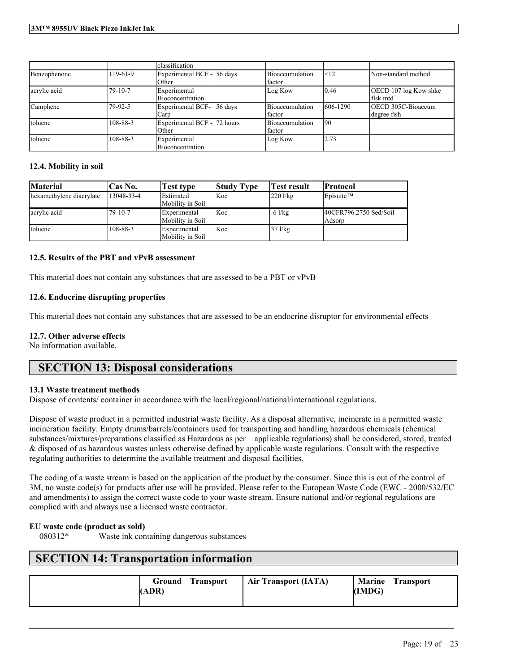|              |               | lclassification                      |                     |                           |          |                                           |
|--------------|---------------|--------------------------------------|---------------------|---------------------------|----------|-------------------------------------------|
| Benzophenone | 119-61-9      | Experimental BCF - 56 days           |                     | Bioaccumulation           | <12      | Non-standard method                       |
|              |               | Other                                |                     | factor                    |          |                                           |
| acrylic acid | $79 - 10 - 7$ | Experimental<br>Bioconcentration     |                     | Log Kow                   | 10.46    | OECD 107 log Kow shke<br>lflsk mtd        |
| Camphene     | 79-92-5       | Experimental BCF-<br>Carp            | $56 \, \text{days}$ | Bioaccumulation<br>factor | 606-1290 | <b>IOECD 305C-Bioaccum</b><br>degree fish |
| toluene      | 108-88-3      | Experimental BCF - 72 hours<br>Other |                     | Bioaccumulation<br>factor | 190      |                                           |
| toluene      | 108-88-3      | Experimental<br>Bioconcentration     |                     | Log Kow                   | 2.73     |                                           |

### **12.4. Mobility in soil**

| <b>Material</b>          | $\mathbb C$ as No. | <b>Test type</b>    | <b>Study Type</b> | <b>Fest result</b> | Protocol                  |
|--------------------------|--------------------|---------------------|-------------------|--------------------|---------------------------|
| hexamethylene diacrylate | 13048-33-4         | <b>Estimated</b>    | Koc               | $220$ l/kg         | $E$ pisuite <sup>TM</sup> |
|                          |                    | Mobility in Soil    |                   |                    |                           |
| acrylic acid             | $79 - 10 - 7$      | Experimental        | <b>Koc</b>        | $-6$ $1/kg$        | 40CFR796.2750 Sed/Soil    |
|                          |                    | lMobility in Soil   |                   |                    | Adsorp                    |
| toluene                  | 108-88-3           | <i>Experimental</i> | <b>Koc</b>        | $37$ $1$ / $kg$    |                           |
|                          |                    | Mobility in Soil    |                   |                    |                           |

### **12.5. Results of the PBT and vPvB assessment**

This material does not contain any substances that are assessed to be a PBT or vPvB

### **12.6. Endocrine disrupting properties**

This material does not contain any substances that are assessed to be an endocrine disruptor for environmental effects

## **12.7. Other adverse effects**

No information available.

# **SECTION 13: Disposal considerations**

### **13.1 Waste treatment methods**

Dispose of contents/ container in accordance with the local/regional/national/international regulations.

Dispose of waste product in a permitted industrial waste facility. As a disposal alternative, incinerate in a permitted waste incineration facility. Empty drums/barrels/containers used for transporting and handling hazardous chemicals (chemical substances/mixtures/preparations classified as Hazardous as per applicable regulations) shall be considered, stored, treated & disposed of as hazardous wastes unless otherwise defined by applicable waste regulations. Consult with the respective regulating authorities to determine the available treatment and disposal facilities.

The coding of a waste stream is based on the application of the product by the consumer. Since this is out of the control of 3M, no waste code(s) for products after use will be provided. Please refer to the European Waste Code (EWC - 2000/532/EC and amendments) to assign the correct waste code to your waste stream. Ensure national and/or regional regulations are complied with and always use a licensed waste contractor.

## **EU waste code (product as sold)**

080312\* Waste ink containing dangerous substances

# **SECTION 14: Transportation information**

|  | <b>Transport</b><br><b>Ground</b><br>(ADR) | Air Transport (IATA) | <b>Marine Transport</b><br>(IMDG) |
|--|--------------------------------------------|----------------------|-----------------------------------|
|--|--------------------------------------------|----------------------|-----------------------------------|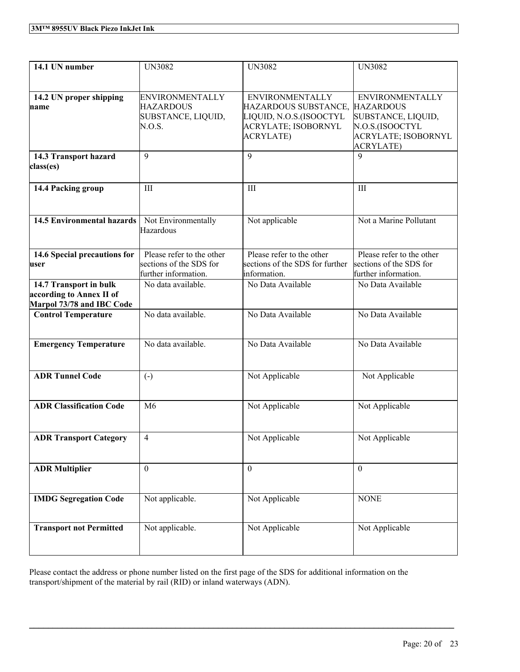| 14.1 UN number                                        | <b>UN3082</b>                                        | <b>UN3082</b>                   | <b>UN3082</b>                   |
|-------------------------------------------------------|------------------------------------------------------|---------------------------------|---------------------------------|
|                                                       |                                                      |                                 |                                 |
|                                                       |                                                      |                                 |                                 |
| 14.2 UN proper shipping                               | <b>ENVIRONMENTALLY</b>                               | <b>ENVIRONMENTALLY</b>          | <b>ENVIRONMENTALLY</b>          |
| name                                                  | <b>HAZARDOUS</b>                                     | HAZARDOUS SUBSTANCE,            | <b>HAZARDOUS</b>                |
|                                                       | SUBSTANCE, LIQUID,                                   | LIQUID, N.O.S.(ISOOCTYL         | SUBSTANCE, LIQUID,              |
|                                                       | N.O.S.                                               | ACRYLATE; ISOBORNYL             | N.O.S.(ISOOCTYL                 |
|                                                       |                                                      | <b>ACRYLATE)</b>                | <b>ACRYLATE; ISOBORNYL</b>      |
| 14.3 Transport hazard                                 | 9                                                    | 9                               | <b>ACRYLATE)</b><br>$\mathbf Q$ |
| class(es)                                             |                                                      |                                 |                                 |
|                                                       |                                                      |                                 |                                 |
| 14.4 Packing group                                    | III                                                  | $\rm III$                       | III                             |
|                                                       |                                                      |                                 |                                 |
|                                                       |                                                      |                                 |                                 |
| <b>14.5 Environmental hazards</b>                     | Not Environmentally                                  | Not applicable                  | Not a Marine Pollutant          |
|                                                       | Hazardous                                            |                                 |                                 |
|                                                       |                                                      | Please refer to the other       |                                 |
| 14.6 Special precautions for                          | Please refer to the other<br>sections of the SDS for |                                 | Please refer to the other       |
| user                                                  |                                                      | sections of the SDS for further | sections of the SDS for         |
|                                                       | further information.                                 | information.                    | further information.            |
| 14.7 Transport in bulk                                | No data available.                                   | No Data Available               | No Data Available               |
| according to Annex II of<br>Marpol 73/78 and IBC Code |                                                      |                                 |                                 |
| <b>Control Temperature</b>                            | No data available.                                   | No Data Available               | No Data Available               |
|                                                       |                                                      |                                 |                                 |
|                                                       |                                                      |                                 |                                 |
| <b>Emergency Temperature</b>                          | No data available.                                   | No Data Available               | No Data Available               |
|                                                       |                                                      |                                 |                                 |
| <b>ADR Tunnel Code</b>                                |                                                      | Not Applicable                  | Not Applicable                  |
|                                                       | $\left( -\right)$                                    |                                 |                                 |
|                                                       |                                                      |                                 |                                 |
| <b>ADR Classification Code</b>                        | M <sub>6</sub>                                       | Not Applicable                  | Not Applicable                  |
|                                                       |                                                      |                                 |                                 |
|                                                       |                                                      |                                 |                                 |
| <b>ADR Transport Category</b>                         | $\overline{4}$                                       | Not Applicable                  | Not Applicable                  |
|                                                       |                                                      |                                 |                                 |
| <b>ADR Multiplier</b>                                 | $\mathbf{0}$                                         | $\mathbf{0}$                    | $\Omega$                        |
|                                                       |                                                      |                                 |                                 |
|                                                       |                                                      |                                 |                                 |
| <b>IMDG Segregation Code</b>                          | Not applicable.                                      | Not Applicable                  | <b>NONE</b>                     |
|                                                       |                                                      |                                 |                                 |
|                                                       |                                                      |                                 |                                 |
| <b>Transport not Permitted</b>                        | Not applicable.                                      | Not Applicable                  | Not Applicable                  |
|                                                       |                                                      |                                 |                                 |
|                                                       |                                                      |                                 |                                 |

Please contact the address or phone number listed on the first page of the SDS for additional information on the transport/shipment of the material by rail (RID) or inland waterways (ADN).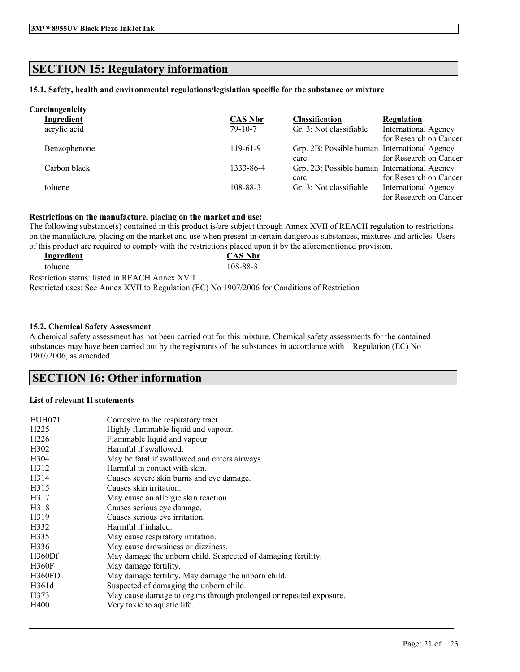# **SECTION 15: Regulatory information**

### **15.1. Safety, health and environmental regulations/legislation specific for the substance or mixture**

| Carcinogenicity |                |                                              |                             |
|-----------------|----------------|----------------------------------------------|-----------------------------|
| Ingredient      | <b>CAS Nbr</b> | <b>Classification</b>                        | <b>Regulation</b>           |
| acrylic acid    | $79-10-7$      | Gr. 3: Not classifiable                      | <b>International Agency</b> |
|                 |                |                                              | for Research on Cancer      |
| Benzophenone    | $119-61-9$     | Grp. 2B: Possible human International Agency |                             |
|                 |                | carc.                                        | for Research on Cancer      |
| Carbon black    | 1333-86-4      | Grp. 2B: Possible human International Agency |                             |
|                 |                | carc.                                        | for Research on Cancer      |
| toluene         | 108-88-3       | Gr. 3: Not classifiable                      | <b>International Agency</b> |
|                 |                |                                              | for Research on Cancer      |

### **Restrictions on the manufacture, placing on the market and use:**

The following substance(s) contained in this product is/are subject through Annex XVII of REACH regulation to restrictions on the manufacture, placing on the market and use when present in certain dangerous substances, mixtures and articles. Users of this product are required to comply with the restrictions placed upon it by the aforementioned provision.

| Ingredient                                                                                    | <b>CAS Nbr</b> |
|-----------------------------------------------------------------------------------------------|----------------|
| toluene                                                                                       | 108-88-3       |
| Restriction status: listed in REACH Annex XVII                                                |                |
| Restricted uses: See Annex XVII to Regulation (EC) No 1907/2006 for Conditions of Restriction |                |

### **15.2. Chemical Safety Assessment**

A chemical safety assessment has not been carried out for this mixture. Chemical safety assessments for the contained substances may have been carried out by the registrants of the substances in accordance with Regulation (EC) No 1907/2006, as amended.

 $\mathcal{L}_\mathcal{L} = \mathcal{L}_\mathcal{L} = \mathcal{L}_\mathcal{L} = \mathcal{L}_\mathcal{L} = \mathcal{L}_\mathcal{L} = \mathcal{L}_\mathcal{L} = \mathcal{L}_\mathcal{L} = \mathcal{L}_\mathcal{L} = \mathcal{L}_\mathcal{L} = \mathcal{L}_\mathcal{L} = \mathcal{L}_\mathcal{L} = \mathcal{L}_\mathcal{L} = \mathcal{L}_\mathcal{L} = \mathcal{L}_\mathcal{L} = \mathcal{L}_\mathcal{L} = \mathcal{L}_\mathcal{L} = \mathcal{L}_\mathcal{L}$ 

# **SECTION 16: Other information**

### **List of relevant H statements**

| <b>EUH071</b>     | Corrosive to the respiratory tract.                                |
|-------------------|--------------------------------------------------------------------|
| H <sub>225</sub>  | Highly flammable liquid and vapour.                                |
| H <sub>226</sub>  | Flammable liquid and vapour.                                       |
| H <sub>3</sub> 02 | Harmful if swallowed.                                              |
| H304              | May be fatal if swallowed and enters airways.                      |
| H312              | Harmful in contact with skin.                                      |
| H314              | Causes severe skin burns and eye damage.                           |
| H315              | Causes skin irritation.                                            |
| H317              | May cause an allergic skin reaction.                               |
| H318              | Causes serious eye damage.                                         |
| H319              | Causes serious eye irritation.                                     |
| H332              | Harmful if inhaled.                                                |
| H335              | May cause respiratory irritation.                                  |
| H336              | May cause drowsiness or dizziness.                                 |
| H360Df            | May damage the unborn child. Suspected of damaging fertility.      |
| <b>H360F</b>      | May damage fertility.                                              |
| <b>H360FD</b>     | May damage fertility. May damage the unborn child.                 |
| H361d             | Suspected of damaging the unborn child.                            |
| H373              | May cause damage to organs through prolonged or repeated exposure. |
| H400              | Very toxic to aquatic life.                                        |
|                   |                                                                    |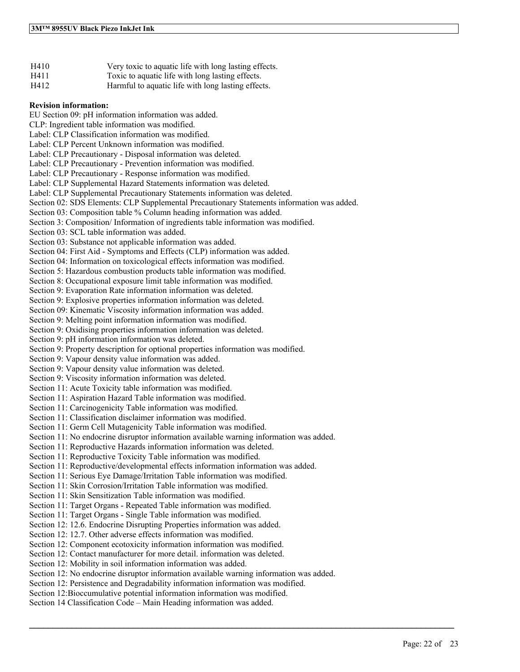| H410     | Very toxic to aquatic life with long lasting effects.                                                                                                 |
|----------|-------------------------------------------------------------------------------------------------------------------------------------------------------|
| TT 4 1 1 | $\mathbf{T}^{\prime}$ , and the second of $\mathbf{C}$ , and $\mathbf{C}$ , and $\mathbf{C}$ , and $\mathbf{C}$ , and $\mathbf{C}$ , and $\mathbf{C}$ |

- H411 Toxic to aquatic life with long lasting effects.
- H412 Harmful to aquatic life with long lasting effects.

## **Revision information:**

EU Section 09: pH information information was added. CLP: Ingredient table information was modified. Label: CLP Classification information was modified. Label: CLP Percent Unknown information was modified. Label: CLP Precautionary - Disposal information was deleted. Label: CLP Precautionary - Prevention information was modified. Label: CLP Precautionary - Response information was modified. Label: CLP Supplemental Hazard Statements information was deleted. Label: CLP Supplemental Precautionary Statements information was deleted. Section 02: SDS Elements: CLP Supplemental Precautionary Statements information was added. Section 03: Composition table % Column heading information was added. Section 3: Composition/ Information of ingredients table information was modified. Section 03: SCL table information was added. Section 03: Substance not applicable information was added. Section 04: First Aid - Symptoms and Effects (CLP) information was added. Section 04: Information on toxicological effects information was modified. Section 5: Hazardous combustion products table information was modified. Section 8: Occupational exposure limit table information was modified. Section 9: Evaporation Rate information information was deleted. Section 9: Explosive properties information information was deleted. Section 09: Kinematic Viscosity information information was added. Section 9: Melting point information information was modified. Section 9: Oxidising properties information information was deleted. Section 9: pH information information was deleted. Section 9: Property description for optional properties information was modified. Section 9: Vapour density value information was added. Section 9: Vapour density value information was deleted. Section 9: Viscosity information information was deleted. Section 11: Acute Toxicity table information was modified. Section 11: Aspiration Hazard Table information was modified. Section 11: Carcinogenicity Table information was modified. Section 11: Classification disclaimer information was modified. Section 11: Germ Cell Mutagenicity Table information was modified. Section 11: No endocrine disruptor information available warning information was added. Section 11: Reproductive Hazards information information was deleted. Section 11: Reproductive Toxicity Table information was modified. Section 11: Reproductive/developmental effects information information was added. Section 11: Serious Eye Damage/Irritation Table information was modified. Section 11: Skin Corrosion/Irritation Table information was modified. Section 11: Skin Sensitization Table information was modified. Section 11: Target Organs - Repeated Table information was modified. Section 11: Target Organs - Single Table information was modified. Section 12: 12.6. Endocrine Disrupting Properties information was added. Section 12: 12.7. Other adverse effects information was modified. Section 12: Component ecotoxicity information information was modified. Section 12: Contact manufacturer for more detail. information was deleted. Section 12: Mobility in soil information information was added. Section 12: No endocrine disruptor information available warning information was added. Section 12: Persistence and Degradability information information was modified. Section 12:Bioccumulative potential information information was modified. Section 14 Classification Code – Main Heading information was added.